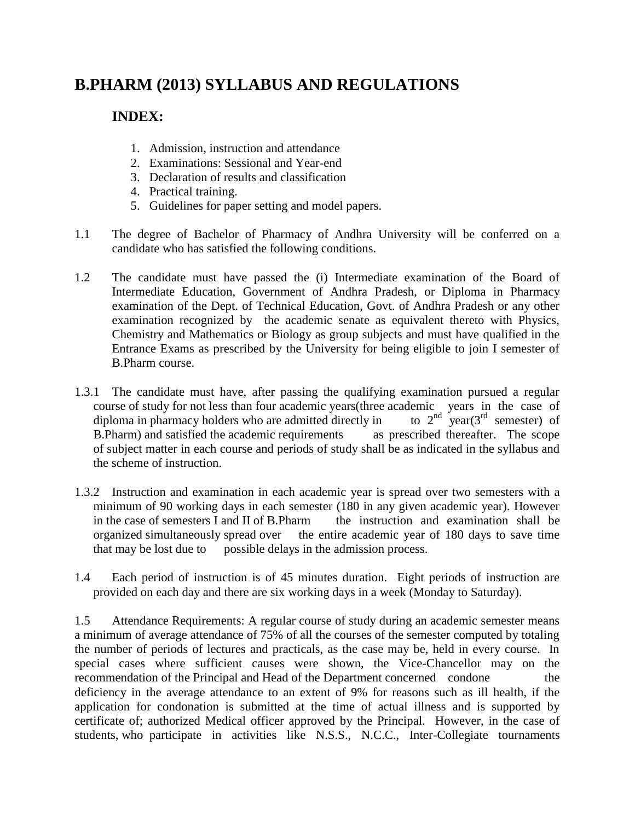# **B.PHARM (2013) SYLLABUS AND REGULATIONS**

# **INDEX:**

- 1. Admission, instruction and attendance
- 2. Examinations: Sessional and Year-end
- 3. Declaration of results and classification
- 4. Practical training.
- 5. Guidelines for paper setting and model papers.
- 1.1 The degree of Bachelor of Pharmacy of Andhra University will be conferred on a candidate who has satisfied the following conditions.
- 1.2 The candidate must have passed the (i) Intermediate examination of the Board of Intermediate Education, Government of Andhra Pradesh, or Diploma in Pharmacy examination of the Dept. of Technical Education, Govt. of Andhra Pradesh or any other examination recognized by the academic senate as equivalent thereto with Physics, Chemistry and Mathematics or Biology as group subjects and must have qualified in the Entrance Exams as prescribed by the University for being eligible to join I semester of B.Pharm course.
- 1.3.1 The candidate must have, after passing the qualifying examination pursued a regular course of study for not less than four academic years(three academic years in the case of diploma in pharmacy holders who are admitted directly in to  $2<sup>nd</sup>$  year(3<sup>rd</sup> semester) of diploma in pharmacy holders who are admitted directly in B.Pharm) and satisfied the academic requirements as prescribed thereafter. The scope of subject matter in each course and periods of study shall be as indicated in the syllabus and the scheme of instruction.
- 1.3.2 Instruction and examination in each academic year is spread over two semesters with a minimum of 90 working days in each semester (180 in any given academic year). However in the case of semesters I and II of B.Pharm the instruction and examination shall be organized simultaneously spread over the entire academic year of 180 days to save time that may be lost due to possible delays in the admission process.
- 1.4 Each period of instruction is of 45 minutes duration. Eight periods of instruction are provided on each day and there are six working days in a week (Monday to Saturday).

1.5 Attendance Requirements: A regular course of study during an academic semester means a minimum of average attendance of 75% of all the courses of the semester computed by totaling the number of periods of lectures and practicals, as the case may be, held in every course. In special cases where sufficient causes were shown, the Vice-Chancellor may on the recommendation of the Principal and Head of the Department concerned condone the deficiency in the average attendance to an extent of 9% for reasons such as ill health, if the application for condonation is submitted at the time of actual illness and is supported by certificate of; authorized Medical officer approved by the Principal. However, in the case of students, who participate in activities like N.S.S., N.C.C., Inter-Collegiate tournaments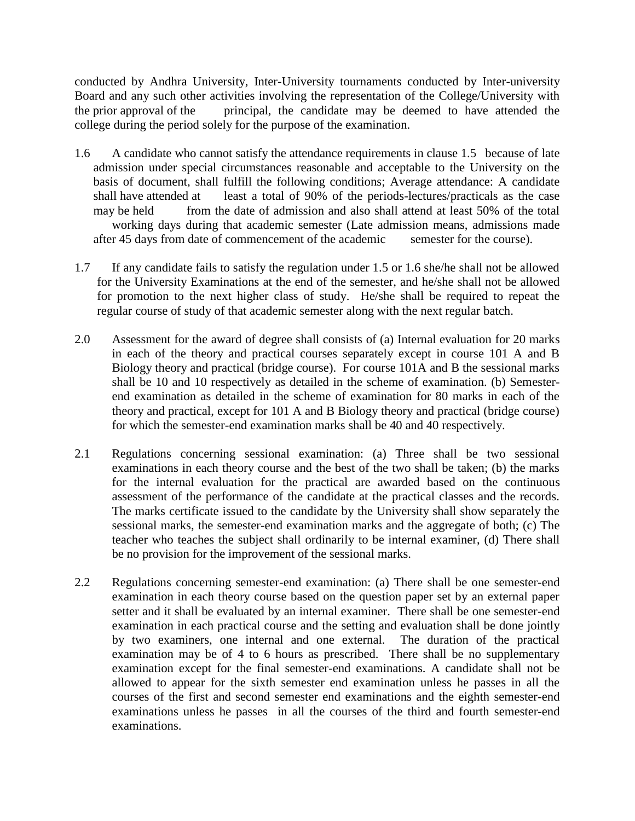conducted by Andhra University, Inter-University tournaments conducted by Inter-university Board and any such other activities involving the representation of the College/University with the prior approval of the principal, the candidate may be deemed to have attended the college during the period solely for the purpose of the examination.

- 1.6 A candidate who cannot satisfy the attendance requirements in clause 1.5 because of late admission under special circumstances reasonable and acceptable to the University on the basis of document, shall fulfill the following conditions; Average attendance: A candidate shall have attended at least a total of 90% of the periods-lectures/practicals as the case may be held from the date of admission and also shall attend at least 50% of the total working days during that academic semester (Late admission means, admissions made after 45 days from date of commencement of the academic semester for the course).
- 1.7 If any candidate fails to satisfy the regulation under 1.5 or 1.6 she/he shall not be allowed for the University Examinations at the end of the semester, and he/she shall not be allowed for promotion to the next higher class of study. He/she shall be required to repeat the regular course of study of that academic semester along with the next regular batch.
- 2.0 Assessment for the award of degree shall consists of (a) Internal evaluation for 20 marks in each of the theory and practical courses separately except in course 101 A and B Biology theory and practical (bridge course). For course 101A and B the sessional marks shall be 10 and 10 respectively as detailed in the scheme of examination. (b) Semesterend examination as detailed in the scheme of examination for 80 marks in each of the theory and practical, except for 101 A and B Biology theory and practical (bridge course) for which the semester-end examination marks shall be 40 and 40 respectively.
- 2.1 Regulations concerning sessional examination: (a) Three shall be two sessional examinations in each theory course and the best of the two shall be taken; (b) the marks for the internal evaluation for the practical are awarded based on the continuous assessment of the performance of the candidate at the practical classes and the records. The marks certificate issued to the candidate by the University shall show separately the sessional marks, the semester-end examination marks and the aggregate of both; (c) The teacher who teaches the subject shall ordinarily to be internal examiner, (d) There shall be no provision for the improvement of the sessional marks.
- 2.2 Regulations concerning semester-end examination: (a) There shall be one semester-end examination in each theory course based on the question paper set by an external paper setter and it shall be evaluated by an internal examiner. There shall be one semester-end examination in each practical course and the setting and evaluation shall be done jointly by two examiners, one internal and one external. The duration of the practical examination may be of 4 to 6 hours as prescribed. There shall be no supplementary examination except for the final semester-end examinations. A candidate shall not be allowed to appear for the sixth semester end examination unless he passes in all the courses of the first and second semester end examinations and the eighth semester-end examinations unless he passes in all the courses of the third and fourth semester-end examinations.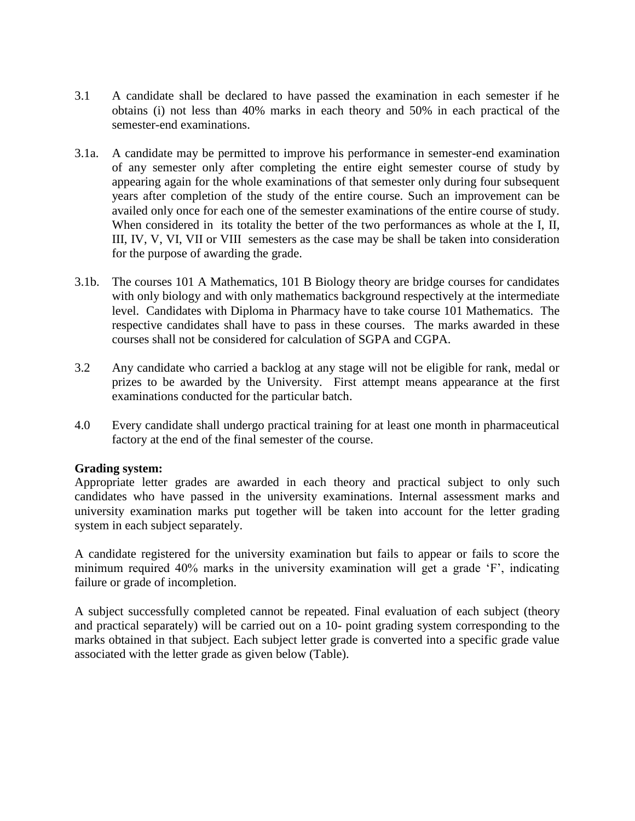- 3.1 A candidate shall be declared to have passed the examination in each semester if he obtains (i) not less than 40% marks in each theory and 50% in each practical of the semester-end examinations.
- 3.1a. A candidate may be permitted to improve his performance in semester-end examination of any semester only after completing the entire eight semester course of study by appearing again for the whole examinations of that semester only during four subsequent years after completion of the study of the entire course. Such an improvement can be availed only once for each one of the semester examinations of the entire course of study. When considered in its totality the better of the two performances as whole at the I, II, III, IV, V, VI, VII or VIII semesters as the case may be shall be taken into consideration for the purpose of awarding the grade.
- 3.1b. The courses 101 A Mathematics, 101 B Biology theory are bridge courses for candidates with only biology and with only mathematics background respectively at the intermediate level. Candidates with Diploma in Pharmacy have to take course 101 Mathematics. The respective candidates shall have to pass in these courses. The marks awarded in these courses shall not be considered for calculation of SGPA and CGPA.
- 3.2 Any candidate who carried a backlog at any stage will not be eligible for rank, medal or prizes to be awarded by the University. First attempt means appearance at the first examinations conducted for the particular batch.
- 4.0 Every candidate shall undergo practical training for at least one month in pharmaceutical factory at the end of the final semester of the course.

#### **Grading system:**

Appropriate letter grades are awarded in each theory and practical subject to only such candidates who have passed in the university examinations. Internal assessment marks and university examination marks put together will be taken into account for the letter grading system in each subject separately.

A candidate registered for the university examination but fails to appear or fails to score the minimum required 40% marks in the university examination will get a grade 'F', indicating failure or grade of incompletion.

A subject successfully completed cannot be repeated. Final evaluation of each subject (theory and practical separately) will be carried out on a 10- point grading system corresponding to the marks obtained in that subject. Each subject letter grade is converted into a specific grade value associated with the letter grade as given below (Table).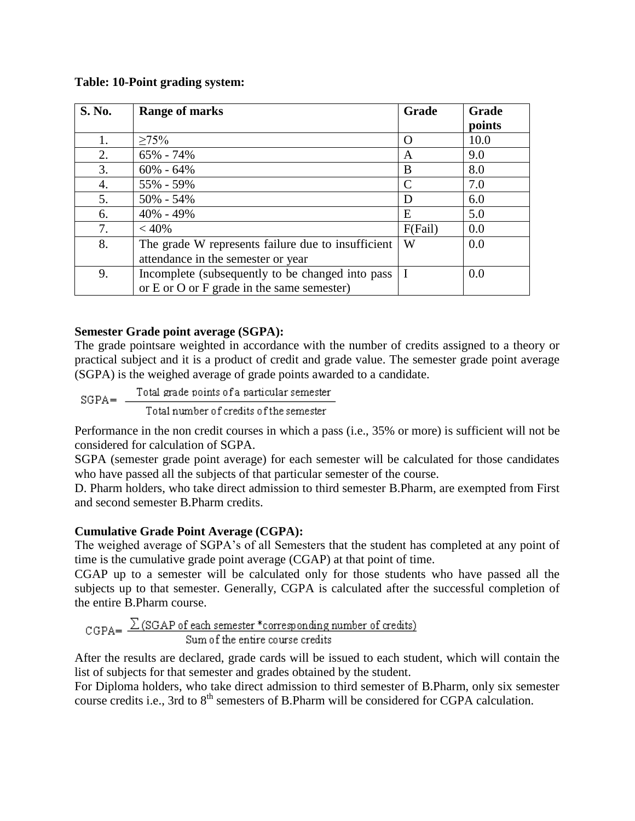#### **Table: 10-Point grading system:**

| <b>S. No.</b> | <b>Range of marks</b>                              | Grade         | <b>Grade</b> |
|---------------|----------------------------------------------------|---------------|--------------|
|               |                                                    |               | points       |
| 1.            | $\geq 75\%$                                        | $\Omega$      | 10.0         |
| 2.            | 65% - 74%                                          | A             | 9.0          |
| 3.            | $60\% - 64\%$                                      | B             | 8.0          |
| 4.            | 55% - 59%                                          | $\mathcal{C}$ | 7.0          |
| 5.            | $50\% - 54\%$                                      | D             | 6.0          |
| 6.            | $40\% - 49\%$                                      | E             | 5.0          |
| 7.            | < 40%                                              | F(Fail)       | 0.0          |
| 8.            | The grade W represents failure due to insufficient | W             | 0.0          |
|               | attendance in the semester or year                 |               |              |
| 9.            | Incomplete (subsequently to be changed into pass)  | I             | 0.0          |
|               | or $E$ or $O$ or $F$ grade in the same semester)   |               |              |

#### **Semester Grade point average (SGPA):**

The grade pointsare weighted in accordance with the number of credits assigned to a theory or practical subject and it is a product of credit and grade value. The semester grade point average (SGPA) is the weighed average of grade points awarded to a candidate.

Total grade points of a particular semester  $SGPA = -$ Total number of credits of the semester

Performance in the non credit courses in which a pass (i.e., 35% or more) is sufficient will not be considered for calculation of SGPA.

SGPA (semester grade point average) for each semester will be calculated for those candidates who have passed all the subjects of that particular semester of the course.

D. Pharm holders, who take direct admission to third semester B.Pharm, are exempted from First and second semester B.Pharm credits.

#### **Cumulative Grade Point Average (CGPA):**

The weighed average of SGPA's of all Semesters that the student has completed at any point of time is the cumulative grade point average (CGAP) at that point of time.

CGAP up to a semester will be calculated only for those students who have passed all the subjects up to that semester. Generally, CGPA is calculated after the successful completion of the entire B.Pharm course.

$$
CGPA = \frac{\sum (SGAP of each semester * corresponding number of credits)}{Sum of the entire course credits}
$$

After the results are declared, grade cards will be issued to each student, which will contain the list of subjects for that semester and grades obtained by the student.

For Diploma holders, who take direct admission to third semester of B.Pharm, only six semester course credits i.e., 3rd to 8<sup>th</sup> semesters of B.Pharm will be considered for CGPA calculation.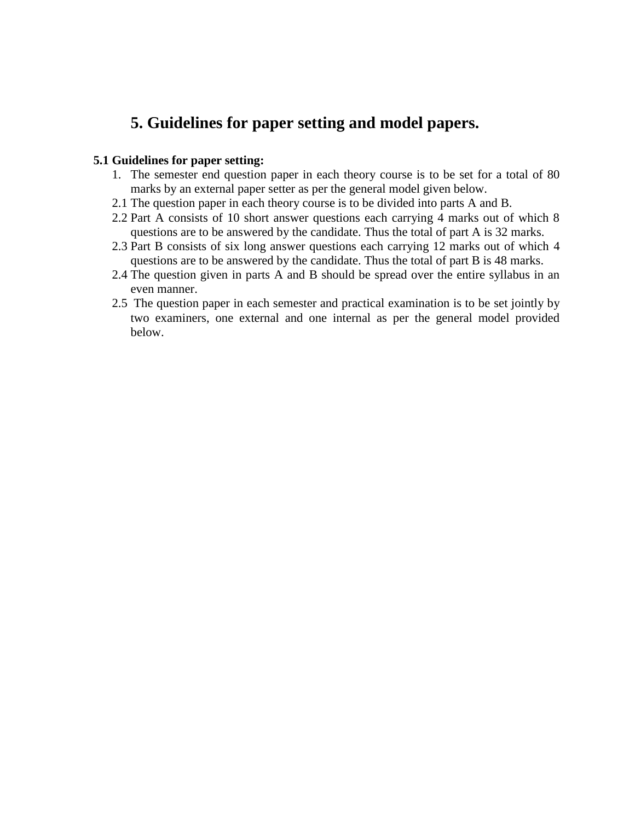# **5. Guidelines for paper setting and model papers.**

#### **5.1 Guidelines for paper setting:**

- 1. The semester end question paper in each theory course is to be set for a total of 80 marks by an external paper setter as per the general model given below.
- 2.1 The question paper in each theory course is to be divided into parts A and B.
- 2.2 Part A consists of 10 short answer questions each carrying 4 marks out of which 8 questions are to be answered by the candidate. Thus the total of part A is 32 marks.
- 2.3 Part B consists of six long answer questions each carrying 12 marks out of which 4 questions are to be answered by the candidate. Thus the total of part B is 48 marks.
- 2.4 The question given in parts A and B should be spread over the entire syllabus in an even manner.
- 2.5 The question paper in each semester and practical examination is to be set jointly by two examiners, one external and one internal as per the general model provided below.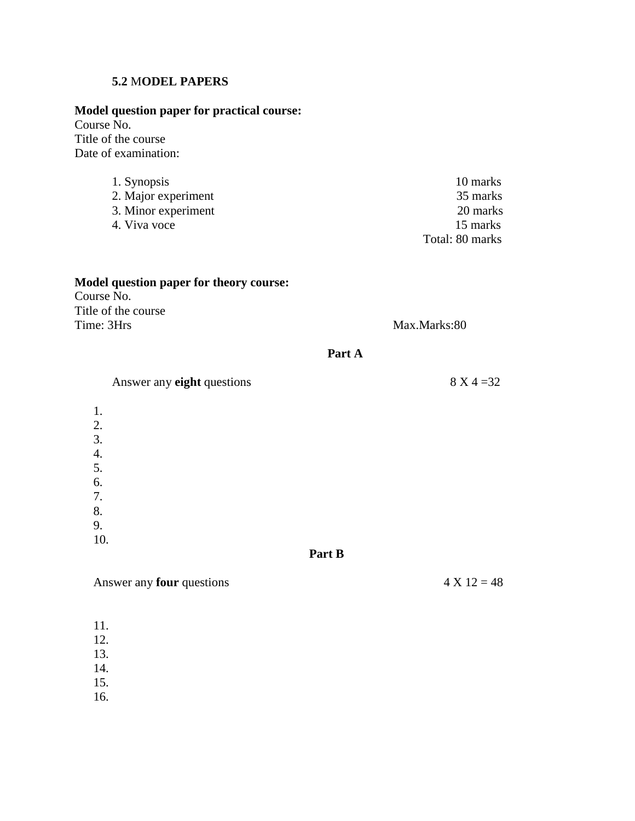#### **5.2** M**ODEL PAPERS**

### **Model question paper for practical course:**

Course No. Title of the course Date of examination:

- 1. Synopsis 10 marks 2. Major experiment 35 marks
- 
- $4.$  Viva voce

3. Minor experiment 20 marks 20 marks 20 marks 20 marks 20 marks 20 marks 20 marks 20 marks 20 marks 20 marks 20 marks 20 marks 20 marks 20 marks 20 marks 20 marks 20 marks 20 marks 20 marks 20 marks 20 marks 20 marks 20 m Total: 80 marks

#### **Model question paper for theory course:** Course No. Title of the course Time: 3Hrs Max.Marks:80

#### **Part A**

Answer any **eight** questions 8 X 4 = 32 1. 2. 3. 4. 5. 6. 7. 8. 9. 10. **Part B**

#### Answer any **four** questions  $4 \times 12 = 48$

- 11.
- 12. 13.
- 14.
- 15.
- 16.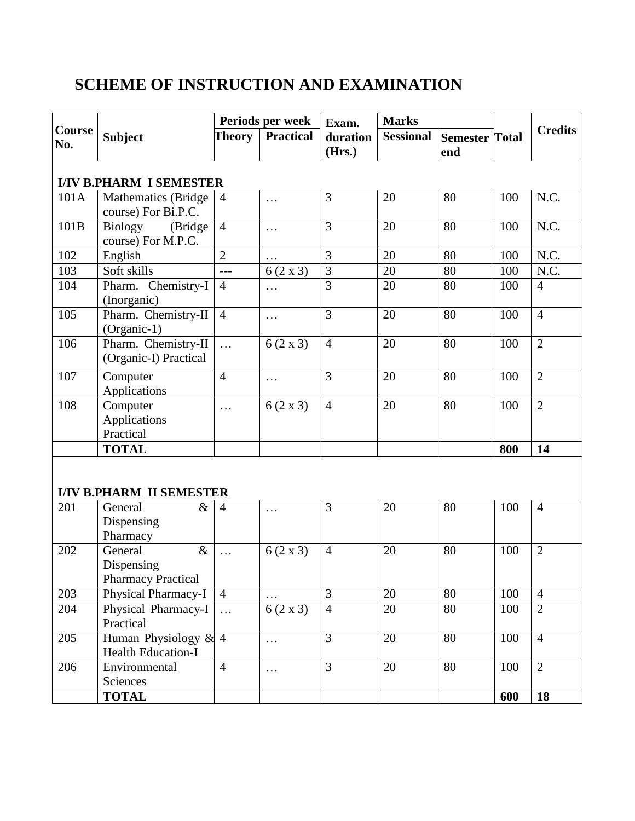# **SCHEME OF INSTRUCTION AND EXAMINATION**

|               |                                                    |                | Periods per week | Exam.              | <b>Marks</b>     |                              |     |                |
|---------------|----------------------------------------------------|----------------|------------------|--------------------|------------------|------------------------------|-----|----------------|
| Course<br>No. | <b>Subject</b>                                     | Theory         | <b>Practical</b> | duration<br>(Hrs.) | <b>Sessional</b> | <b>Semester Total</b><br>end |     | <b>Credits</b> |
|               | <b>I/IV B.PHARM I SEMESTER</b>                     |                |                  |                    |                  |                              |     |                |
| 101A          | <b>Mathematics</b> (Bridge)<br>course) For Bi.P.C. | $\overline{4}$ | $\cdots$         | 3                  | 20               | 80                           | 100 | N.C.           |
| 101B          | Biology (Bridge)<br>course) For M.P.C.             | $\overline{4}$ | $\cdots$         | 3                  | 20               | 80                           | 100 | N.C.           |
| 102           | English                                            | $\overline{2}$ |                  | 3                  | 20               | 80                           | 100 | N.C.           |
| 103           | Soft skills                                        | $\overline{a}$ | $6(2 \times 3)$  | 3                  | 20               | 80                           | 100 | N.C.           |
| 104           | Pharm. Chemistry-I<br>(Inorganic)                  | $\overline{4}$ | $\cdots$         | $\overline{3}$     | 20               | 80                           | 100 | $\overline{4}$ |
| 105           | Pharm. Chemistry-II<br>(Organic-1)                 | $\overline{4}$ | $\cdots$         | $\overline{3}$     | 20               | 80                           | 100 | $\overline{4}$ |
| 106           | Pharm. Chemistry-II<br>(Organic-I) Practical       | $\ddotsc$      | $6(2 \times 3)$  | $\overline{4}$     | 20               | 80                           | 100 | $\overline{2}$ |
| 107           | Computer<br>Applications                           | $\overline{4}$ | $\cdots$         | 3                  | 20               | 80                           | 100 | $\overline{2}$ |
| 108           | Computer<br>Applications<br>Practical              | $\cdots$       | $6(2 \times 3)$  | $\overline{4}$     | 20               | 80                           | 100 | $\overline{2}$ |
|               | <b>TOTAL</b>                                       |                |                  |                    |                  |                              | 800 | 14             |

# **I/IV B.PHARM II SEMESTER**

| 201 | $\&$<br>General           | $\overline{4}$ | .               | 3              | 20 | 80 | 100 | $\overline{4}$ |
|-----|---------------------------|----------------|-----------------|----------------|----|----|-----|----------------|
|     | Dispensing                |                |                 |                |    |    |     |                |
|     | Pharmacy                  |                |                 |                |    |    |     |                |
| 202 | $\&$<br>General           | $\ddots$       | $6(2 \times 3)$ | $\overline{4}$ | 20 | 80 | 100 | $\overline{2}$ |
|     | Dispensing                |                |                 |                |    |    |     |                |
|     | <b>Pharmacy Practical</b> |                |                 |                |    |    |     |                |
| 203 | Physical Pharmacy-I       | $\overline{4}$ |                 | 3              | 20 | 80 | 100 | $\overline{4}$ |
| 204 | Physical Pharmacy-I       |                | $6(2 \times 3)$ | $\overline{4}$ | 20 | 80 | 100 | $\overline{2}$ |
|     | Practical                 |                |                 |                |    |    |     |                |
| 205 | Human Physiology & $4$    |                | .               | 3              | 20 | 80 | 100 | $\overline{4}$ |
|     | <b>Health Education-I</b> |                |                 |                |    |    |     |                |
| 206 | Environmental             | $\overline{4}$ | $\cdots$        | 3              | 20 | 80 | 100 | 2              |
|     | Sciences                  |                |                 |                |    |    |     |                |
|     | <b>TOTAL</b>              |                |                 |                |    |    | 600 | 18             |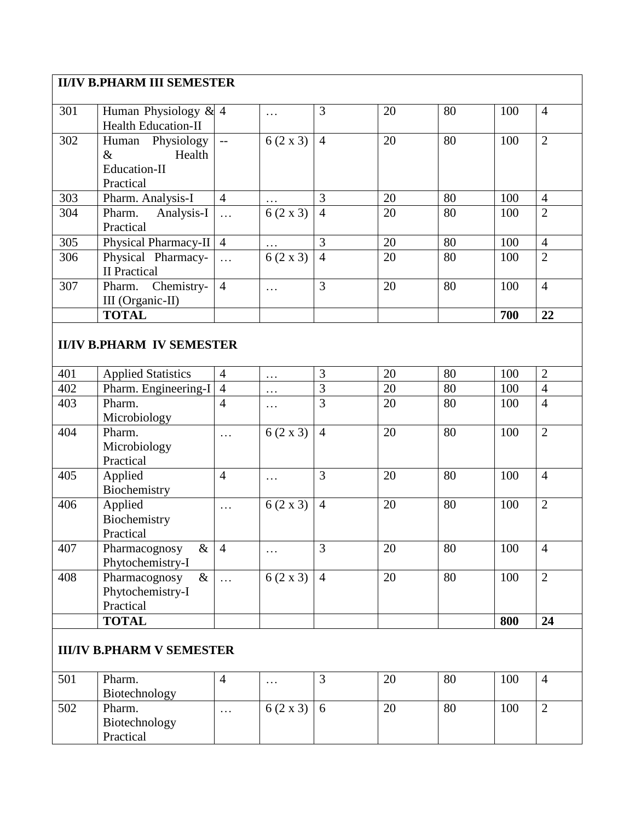# **II/IV B.PHARM III SEMESTER**

| 301 | Human Physiology & $4$     |                | $\cdots$        | 3              | 20 | 80 | 100 | $\overline{4}$ |
|-----|----------------------------|----------------|-----------------|----------------|----|----|-----|----------------|
|     | <b>Health Education-II</b> |                |                 |                |    |    |     |                |
| 302 | Human Physiology           | $\sim$ $\sim$  | $6(2 \times 3)$ | $\overline{4}$ | 20 | 80 | 100 | $\overline{2}$ |
|     | Health<br>&                |                |                 |                |    |    |     |                |
|     | Education-II               |                |                 |                |    |    |     |                |
|     | Practical                  |                |                 |                |    |    |     |                |
| 303 | Pharm. Analysis-I          | $\overline{4}$ |                 | 3              | 20 | 80 | 100 | $\overline{4}$ |
| 304 | Pharm. Analysis-I          | $\ldots$       | $6(2 \times 3)$ | $\overline{4}$ | 20 | 80 | 100 | $\overline{2}$ |
|     | Practical                  |                |                 |                |    |    |     |                |
| 305 | Physical Pharmacy-II 4     |                | $\cdots$        | 3              | 20 | 80 | 100 | $\overline{4}$ |
| 306 | Physical Pharmacy-         | $\ldots$       | $6(2 \times 3)$ | $\overline{4}$ | 20 | 80 | 100 | $\overline{2}$ |
|     | <b>II</b> Practical        |                |                 |                |    |    |     |                |
| 307 | Pharm. Chemistry-          | $\overline{4}$ | .               | 3              | 20 | 80 | 100 | $\overline{4}$ |
|     | III (Organic-II)           |                |                 |                |    |    |     |                |
|     | <b>TOTAL</b>               |                |                 |                |    |    | 700 | 22             |

### **II/IV B.PHARM IV SEMESTER**

| 401 | <b>Applied Statistics</b> | $\overline{4}$       | $\cdots$             | 3              | 20 | 80 | 100 | $\overline{2}$ |
|-----|---------------------------|----------------------|----------------------|----------------|----|----|-----|----------------|
| 402 | Pharm. Engineering-I      | 4                    | $\ddots$             | 3              | 20 | 80 | 100 | $\overline{4}$ |
| 403 | Pharm.                    | $\overline{4}$       | .                    | 3              | 20 | 80 | 100 | $\overline{4}$ |
|     | Microbiology              |                      |                      |                |    |    |     |                |
| 404 | Pharm.                    | $\sim$ $\sim$ $\sim$ | $6(2 \times 3)$      | $\overline{4}$ | 20 | 80 | 100 | $\overline{2}$ |
|     | Microbiology              |                      |                      |                |    |    |     |                |
|     | Practical                 |                      |                      |                |    |    |     |                |
| 405 | Applied                   | $\overline{4}$       | $\ddots$             | 3              | 20 | 80 | 100 | $\overline{4}$ |
|     | Biochemistry              |                      |                      |                |    |    |     |                |
| 406 | Applied                   | $\sim$ $\sim$ $\sim$ | $6(2 \times 3)$      | $\overline{4}$ | 20 | 80 | 100 | $\overline{2}$ |
|     | Biochemistry              |                      |                      |                |    |    |     |                |
|     | Practical                 |                      |                      |                |    |    |     |                |
| 407 | $\&$<br>Pharmacognosy     | $\overline{4}$       | $\sim$ $\sim$ $\sim$ | 3              | 20 | 80 | 100 | $\overline{4}$ |
|     | Phytochemistry-I          |                      |                      |                |    |    |     |                |
| 408 | Pharmacognosy<br>$\&$     | $\ddots$             | $6(2 \times 3)$      | $\overline{4}$ | 20 | 80 | 100 | $\overline{2}$ |
|     | Phytochemistry-I          |                      |                      |                |    |    |     |                |
|     | Practical                 |                      |                      |                |    |    |     |                |
|     | <b>TOTAL</b>              |                      |                      |                |    |    | 800 | 24             |

### **III/IV B.PHARM V SEMESTER**

| 501 | Pharm.<br>Biotechnology              |                   | $\cdot\cdot\cdot$ | 20 | 80 | 100 |   |
|-----|--------------------------------------|-------------------|-------------------|----|----|-----|---|
| 502 | Pharm.<br>Biotechnology<br>Practical | $\cdot\cdot\cdot$ | $6(2 \times 3)$   | 20 | 80 | 100 | ∼ |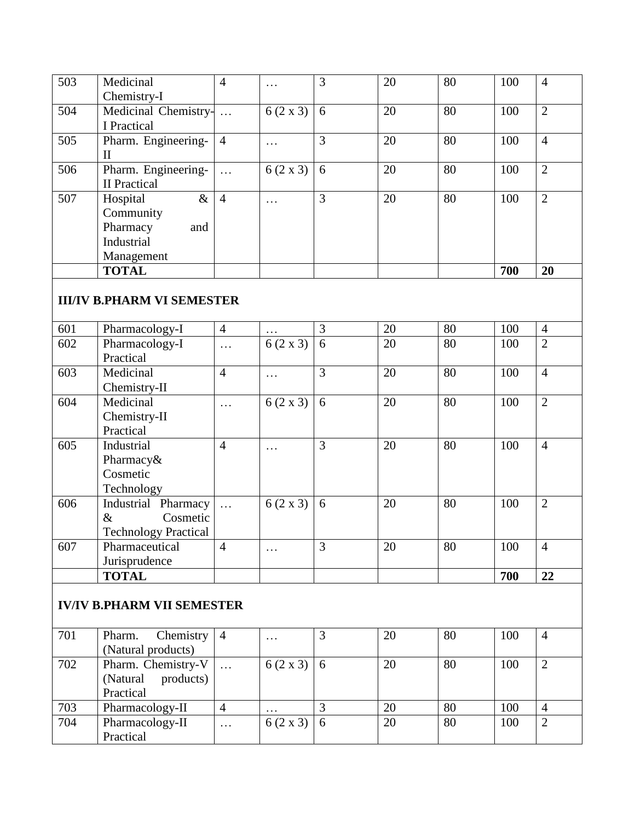| 503 | Medicinal            | $\overline{4}$ | .               | 3 | 20 | 80 | 100 | $\overline{4}$ |
|-----|----------------------|----------------|-----------------|---|----|----|-----|----------------|
|     | Chemistry-I          |                |                 |   |    |    |     |                |
| 504 | Medicinal Chemistry- | $\ddots$       | $6(2 \times 3)$ | 6 | 20 | 80 | 100 | $\overline{2}$ |
|     | I Practical          |                |                 |   |    |    |     |                |
| 505 | Pharm. Engineering-  | $\overline{4}$ | $\ddotsc$       | 3 | 20 | 80 | 100 | $\overline{4}$ |
|     | $\mathbf{I}$         |                |                 |   |    |    |     |                |
| 506 | Pharm. Engineering-  | $\cdots$       | $6(2 \times 3)$ | 6 | 20 | 80 | 100 | $\overline{2}$ |
|     | <b>II</b> Practical  |                |                 |   |    |    |     |                |
| 507 | $\&$<br>Hospital     | $\overline{4}$ | $\ddots$        | 3 | 20 | 80 | 100 | $\overline{2}$ |
|     | Community            |                |                 |   |    |    |     |                |
|     | Pharmacy<br>and      |                |                 |   |    |    |     |                |
|     | Industrial           |                |                 |   |    |    |     |                |
|     | Management           |                |                 |   |    |    |     |                |
|     | <b>TOTAL</b>         |                |                 |   |    |    | 700 | 20             |

#### **III/IV B.PHARM VI SEMESTER**

| 601 | Pharmacology-I              | $\overline{4}$ | .               | 3 | 20 | 80 | 100 | $\overline{4}$ |
|-----|-----------------------------|----------------|-----------------|---|----|----|-----|----------------|
| 602 | Pharmacology-I              | $\ddots$       | $6(2 \times 3)$ | 6 | 20 | 80 | 100 | $\overline{2}$ |
|     | Practical                   |                |                 |   |    |    |     |                |
| 603 | Medicinal                   | $\overline{4}$ | $\cdot$         | 3 | 20 | 80 | 100 | $\overline{4}$ |
|     | Chemistry-II                |                |                 |   |    |    |     |                |
| 604 | Medicinal                   | .              | $6(2 \times 3)$ | 6 | 20 | 80 | 100 | $\overline{2}$ |
|     | Chemistry-II                |                |                 |   |    |    |     |                |
|     | Practical                   |                |                 |   |    |    |     |                |
| 605 | Industrial                  | $\overline{4}$ |                 | 3 | 20 | 80 | 100 | $\overline{4}$ |
|     | Pharmacy&                   |                |                 |   |    |    |     |                |
|     | Cosmetic                    |                |                 |   |    |    |     |                |
|     | Technology                  |                |                 |   |    |    |     |                |
| 606 | Industrial Pharmacy         | $\ddots$       | $6(2 \times 3)$ | 6 | 20 | 80 | 100 | $\overline{2}$ |
|     | $\&$<br>Cosmetic            |                |                 |   |    |    |     |                |
|     | <b>Technology Practical</b> |                |                 |   |    |    |     |                |
| 607 | Pharmaceutical              | $\overline{4}$ | .               | 3 | 20 | 80 | 100 | $\overline{4}$ |
|     | Jurisprudence               |                |                 |   |    |    |     |                |
|     | <b>TOTAL</b>                |                |                 |   |    |    | 700 | 22             |

#### **IV/IV B.PHARM VII SEMESTER**

| 701 | Chemistry<br>Pharm. | $\vert 4$            | $\ddotsc$         |                | 20 | 80 | 100 | 4 |
|-----|---------------------|----------------------|-------------------|----------------|----|----|-----|---|
|     | (Natural products)  |                      |                   |                |    |    |     |   |
| 702 | Pharm. Chemistry-V  | $\ddots$             | $6(2 \times 3)$ 6 |                | 20 | 80 | 100 |   |
|     | (Natural products)  |                      |                   |                |    |    |     |   |
|     | Practical           |                      |                   |                |    |    |     |   |
| 703 | Pharmacology-II     |                      | $\cdots$          |                | 20 | 80 | 100 | 4 |
| 704 | Pharmacology-II     | $\sim$ $\sim$ $\sim$ | $6(2 \times 3)$   | $\overline{6}$ | 20 | 80 | 100 | 2 |
|     | Practical           |                      |                   |                |    |    |     |   |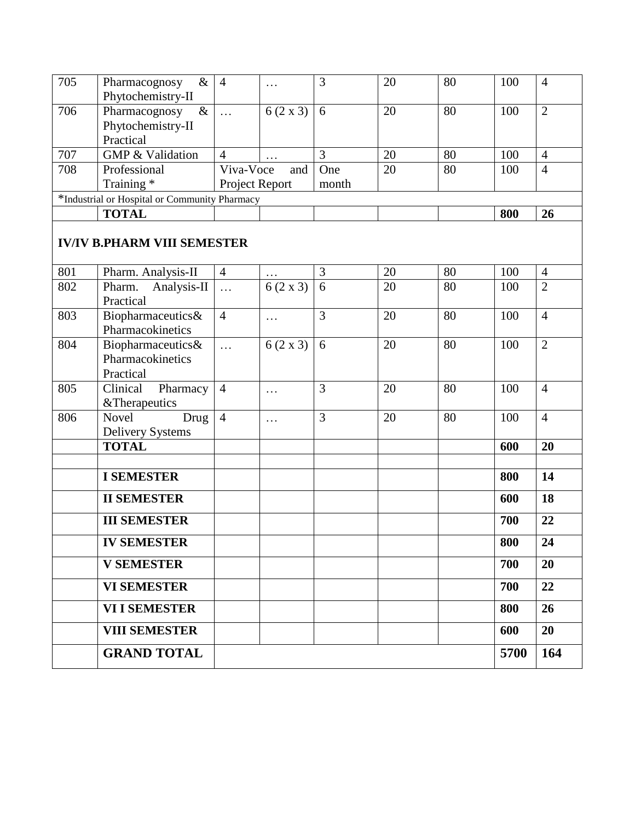| 705 | &<br>Pharmacognosy                            | $\overline{4}$ | $\ddotsc$         | 3     | 20 | 80 | 100 | 4              |
|-----|-----------------------------------------------|----------------|-------------------|-------|----|----|-----|----------------|
|     | Phytochemistry-II                             |                |                   |       |    |    |     |                |
| 706 | $\&$<br>Pharmacognosy                         | $\ddots$       | $6(2 \times 3)$ 6 |       | 20 | 80 | 100 | $\overline{2}$ |
|     | Phytochemistry-II                             |                |                   |       |    |    |     |                |
|     | Practical                                     |                |                   |       |    |    |     |                |
| 707 | <b>GMP &amp; Validation</b>                   |                | $\cdot\cdot\cdot$ |       | 20 | 80 | 100 | $\overline{4}$ |
| 708 | Professional                                  | Viva-Voce      | and               | One   | 20 | 80 | 100 | $\overline{4}$ |
|     | Training *                                    | Project Report |                   | month |    |    |     |                |
|     | *Industrial or Hospital or Community Pharmacy |                |                   |       |    |    |     |                |
|     | <b>TOTAL</b>                                  |                |                   |       |    |    | 800 | <b>26</b>      |

# **IV/IV B.PHARM VIII SEMESTER**

| 801 | Pharm. Analysis-II      | $\overline{4}$ |                 | $\overline{3}$ | 20 | 80 | 100  | $\overline{4}$ |
|-----|-------------------------|----------------|-----------------|----------------|----|----|------|----------------|
| 802 | Pharm.<br>Analysis-II   | $\ddotsc$      | $6(2 \times 3)$ | 6              | 20 | 80 | 100  | $\overline{2}$ |
|     | Practical               |                |                 |                |    |    |      |                |
| 803 | Biopharmaceutics&       | $\overline{4}$ | $\cdots$        | $\overline{3}$ | 20 | 80 | 100  | $\overline{4}$ |
|     | Pharmacokinetics        |                |                 |                |    |    |      |                |
| 804 | Biopharmaceutics&       | $\ddotsc$      | $6(2 \times 3)$ | 6              | 20 | 80 | 100  | $\overline{2}$ |
|     | Pharmacokinetics        |                |                 |                |    |    |      |                |
|     | Practical               |                |                 |                |    |    |      |                |
| 805 | Clinical<br>Pharmacy    | $\overline{4}$ | $\cdots$        | 3              | 20 | 80 | 100  | $\overline{4}$ |
|     | &Therapeutics           |                |                 |                |    |    |      |                |
| 806 | <b>Novel</b><br>Drug    | $\overline{4}$ | $\cdots$        | 3              | 20 | 80 | 100  | $\overline{4}$ |
|     | <b>Delivery Systems</b> |                |                 |                |    |    |      |                |
|     | <b>TOTAL</b>            |                |                 |                |    |    | 600  | 20             |
|     |                         |                |                 |                |    |    |      |                |
|     | <b>I SEMESTER</b>       |                |                 |                |    |    | 800  | 14             |
|     | <b>II SEMESTER</b>      |                |                 |                |    |    | 600  | 18             |
|     | <b>III SEMESTER</b>     |                |                 |                |    |    | 700  | 22             |
|     | <b>IV SEMESTER</b>      |                |                 |                |    |    | 800  | 24             |
|     | <b>V SEMESTER</b>       |                |                 |                |    |    | 700  | 20             |
|     | <b>VI SEMESTER</b>      |                |                 |                |    |    | 700  | 22             |
|     | <b>VI I SEMESTER</b>    |                |                 |                |    |    | 800  | 26             |
|     | <b>VIII SEMESTER</b>    |                |                 |                |    |    | 600  | 20             |
|     | <b>GRAND TOTAL</b>      |                |                 |                |    |    | 5700 | 164            |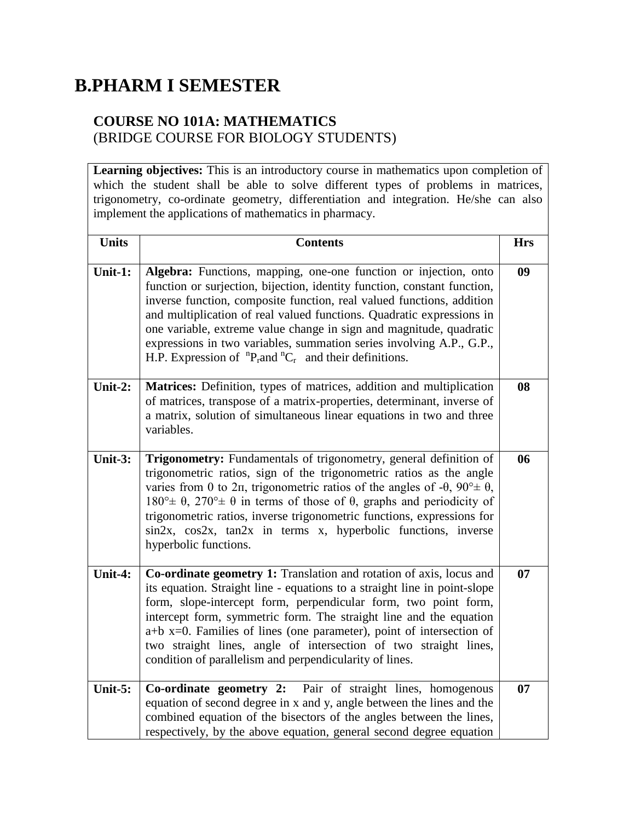# **B.PHARM I SEMESTER**

### **COURSE NO 101A: MATHEMATICS** (BRIDGE COURSE FOR BIOLOGY STUDENTS)

**Learning objectives:** This is an introductory course in mathematics upon completion of which the student shall be able to solve different types of problems in matrices, trigonometry, co-ordinate geometry, differentiation and integration. He/she can also implement the applications of mathematics in pharmacy.

| <b>Units</b> | <b>Contents</b>                                                                                                                                                                                                                                                                                                                                                                                                                                                                                                                         | <b>Hrs</b> |
|--------------|-----------------------------------------------------------------------------------------------------------------------------------------------------------------------------------------------------------------------------------------------------------------------------------------------------------------------------------------------------------------------------------------------------------------------------------------------------------------------------------------------------------------------------------------|------------|
| Unit-1:      | Algebra: Functions, mapping, one-one function or injection, onto<br>function or surjection, bijection, identity function, constant function,<br>inverse function, composite function, real valued functions, addition<br>and multiplication of real valued functions. Quadratic expressions in<br>one variable, extreme value change in sign and magnitude, quadratic<br>expressions in two variables, summation series involving A.P., G.P.,<br>H.P. Expression of ${}^{n}P_{r}$ and ${}^{n}C_{r}$ and their definitions.              | 09         |
| Unit-2:      | Matrices: Definition, types of matrices, addition and multiplication<br>of matrices, transpose of a matrix-properties, determinant, inverse of<br>a matrix, solution of simultaneous linear equations in two and three<br>variables.                                                                                                                                                                                                                                                                                                    | 08         |
| Unit-3:      | Trigonometry: Fundamentals of trigonometry, general definition of<br>trigonometric ratios, sign of the trigonometric ratios as the angle<br>varies from 0 to 2n, trigonometric ratios of the angles of -0, $90^{\circ} \pm \theta$ ,<br>$180^{\circ}$ ± $\theta$ , $270^{\circ}$ ± $\theta$ in terms of those of $\theta$ , graphs and periodicity of<br>trigonometric ratios, inverse trigonometric functions, expressions for<br>$\sin 2x$ , $\cos 2x$ , $\tan 2x$ in terms x, hyperbolic functions, inverse<br>hyperbolic functions. | 06         |
| Unit-4:      | Co-ordinate geometry 1: Translation and rotation of axis, locus and<br>its equation. Straight line - equations to a straight line in point-slope<br>form, slope-intercept form, perpendicular form, two point form,<br>intercept form, symmetric form. The straight line and the equation<br>$a+b$ x=0. Families of lines (one parameter), point of intersection of<br>two straight lines, angle of intersection of two straight lines,<br>condition of parallelism and perpendicularity of lines.                                      | 07         |
| Unit- $5:$   | Co-ordinate geometry 2: Pair of straight lines, homogenous<br>equation of second degree in x and y, angle between the lines and the<br>combined equation of the bisectors of the angles between the lines,<br>respectively, by the above equation, general second degree equation                                                                                                                                                                                                                                                       | 07         |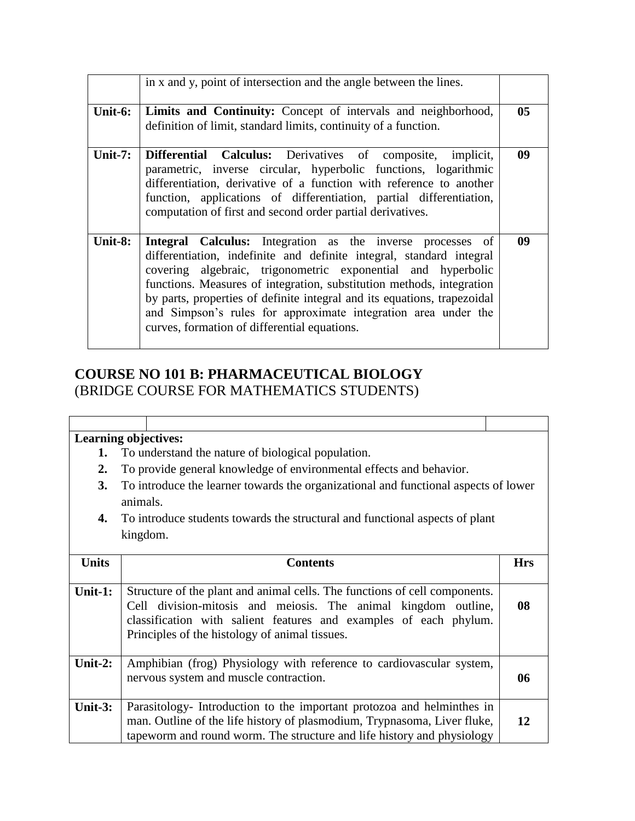|            | in x and y, point of intersection and the angle between the lines.                                                                                                                                                                                                                                                                                                                                                                                                        |                 |
|------------|---------------------------------------------------------------------------------------------------------------------------------------------------------------------------------------------------------------------------------------------------------------------------------------------------------------------------------------------------------------------------------------------------------------------------------------------------------------------------|-----------------|
| Unit-6:    | <b>Limits and Continuity:</b> Concept of intervals and neighborhood,<br>definition of limit, standard limits, continuity of a function.                                                                                                                                                                                                                                                                                                                                   | 05 <sub>1</sub> |
| Unit- $7:$ | <b>Differential Calculus:</b> Derivatives of composite, implicit,<br>parametric, inverse circular, hyperbolic functions, logarithmic<br>differentiation, derivative of a function with reference to another<br>function, applications of differentiation, partial differentiation,<br>computation of first and second order partial derivatives.                                                                                                                          | 09              |
| Unit-8:    | Integral Calculus: Integration as the inverse processes of<br>differentiation, indefinite and definite integral, standard integral<br>covering algebraic, trigonometric exponential and hyperbolic<br>functions. Measures of integration, substitution methods, integration<br>by parts, properties of definite integral and its equations, trapezoidal<br>and Simpson's rules for approximate integration area under the<br>curves, formation of differential equations. | 09              |

# **COURSE NO 101 B: PHARMACEUTICAL BIOLOGY** (BRIDGE COURSE FOR MATHEMATICS STUDENTS)

- **1.** To understand the nature of biological population.
- **2.** To provide general knowledge of environmental effects and behavior.
- **3.** To introduce the learner towards the organizational and functional aspects of lower animals.
- **4.** To introduce students towards the structural and functional aspects of plant kingdom.

| <b>Units</b> | <b>Contents</b>                                                                                                                                                                                                                                                     | <b>Hrs</b> |
|--------------|---------------------------------------------------------------------------------------------------------------------------------------------------------------------------------------------------------------------------------------------------------------------|------------|
| Unit-1:      | Structure of the plant and animal cells. The functions of cell components.<br>Cell division-mitosis and meiosis. The animal kingdom outline,<br>classification with salient features and examples of each phylum.<br>Principles of the histology of animal tissues. | 08         |
| Unit-2:      | Amphibian (frog) Physiology with reference to cardiovascular system,<br>nervous system and muscle contraction.                                                                                                                                                      | 06         |
| Unit- $3:$   | Parasitology- Introduction to the important protozoa and helminthes in<br>man. Outline of the life history of plasmodium, Trypnasoma, Liver fluke,<br>tapeworm and round worm. The structure and life history and physiology                                        | 12         |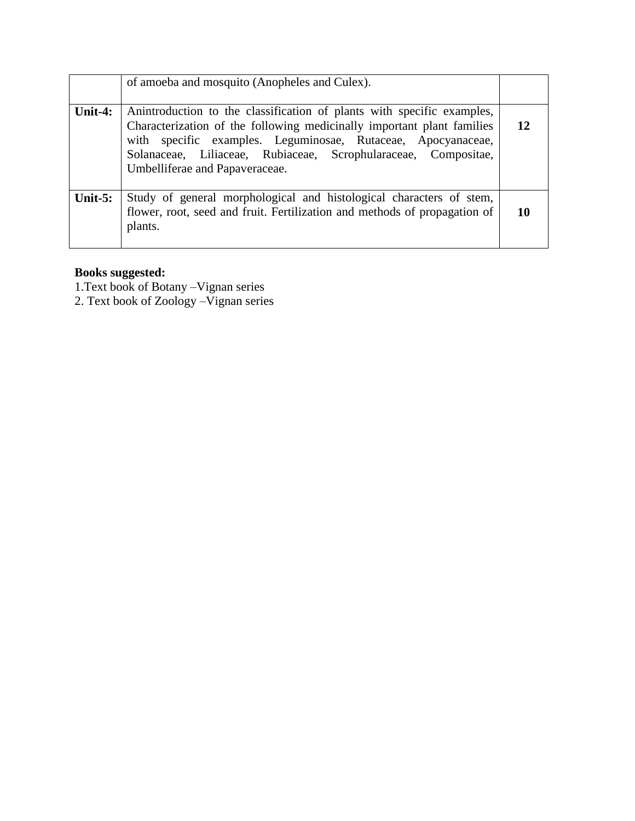|            | of amoeba and mosquito (Anopheles and Culex).                                                                                                                                                                                                                                                                         |    |
|------------|-----------------------------------------------------------------------------------------------------------------------------------------------------------------------------------------------------------------------------------------------------------------------------------------------------------------------|----|
| Unit-4:    | An introduction to the classification of plants with specific examples,<br>Characterization of the following medicinally important plant families<br>with specific examples. Leguminosae, Rutaceae, Apocyanaceae,<br>Solanaceae, Liliaceae, Rubiaceae, Scrophularaceae, Compositae,<br>Umbelliferae and Papaveraceae. | 12 |
| Unit- $5:$ | Study of general morphological and histological characters of stem,<br>flower, root, seed and fruit. Fertilization and methods of propagation of<br>plants.                                                                                                                                                           | 10 |

#### **Books suggested:**

1.Text book of Botany –Vignan series

2. Text book of Zoology –Vignan series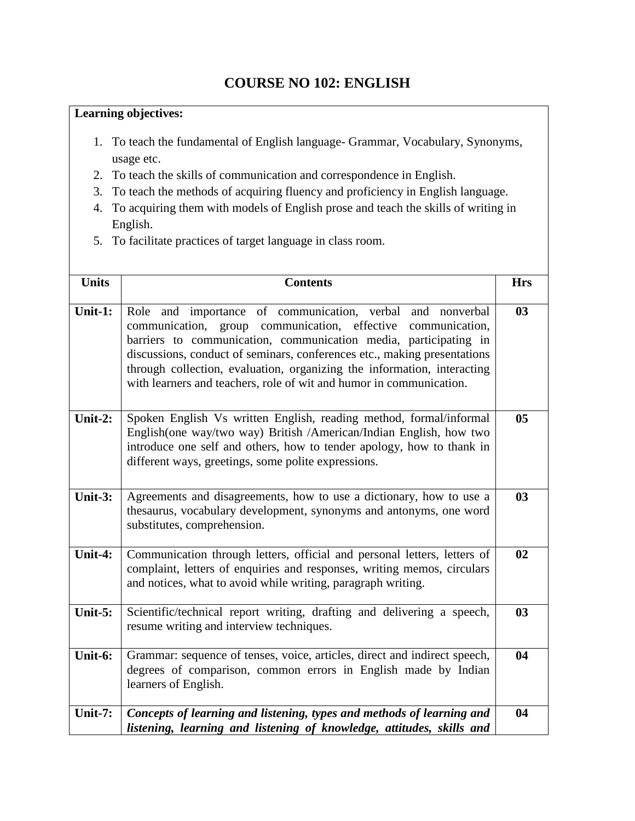## **COURSE NO 102: ENGLISH**

- 1. To teach the fundamental of English language- Grammar, Vocabulary, Synonyms, usage etc.
- 2. To teach the skills of communication and correspondence in English.
- 3. To teach the methods of acquiring fluency and proficiency in English language.
- 4. To acquiring them with models of English prose and teach the skills of writing in English.
- 5. To facilitate practices of target language in class room.

| <b>Units</b> | <b>Contents</b>                                                                                                                                                                                                                                                                                                                                                                                                              | <b>Hrs</b>     |
|--------------|------------------------------------------------------------------------------------------------------------------------------------------------------------------------------------------------------------------------------------------------------------------------------------------------------------------------------------------------------------------------------------------------------------------------------|----------------|
| Unit-1:      | Role and importance of communication, verbal and nonverbal<br>communication, group communication, effective communication,<br>barriers to communication, communication media, participating in<br>discussions, conduct of seminars, conferences etc., making presentations<br>through collection, evaluation, organizing the information, interacting<br>with learners and teachers, role of wit and humor in communication. | 03             |
| Unit-2:      | Spoken English Vs written English, reading method, formal/informal<br>English(one way/two way) British /American/Indian English, how two<br>introduce one self and others, how to tender apology, how to thank in<br>different ways, greetings, some polite expressions.                                                                                                                                                     | 05             |
| Unit- $3:$   | Agreements and disagreements, how to use a dictionary, how to use a<br>thesaurus, vocabulary development, synonyms and antonyms, one word<br>substitutes, comprehension.                                                                                                                                                                                                                                                     | 0 <sub>3</sub> |
| Unit-4:      | Communication through letters, official and personal letters, letters of<br>complaint, letters of enquiries and responses, writing memos, circulars<br>and notices, what to avoid while writing, paragraph writing.                                                                                                                                                                                                          | 02             |
| Unit-5:      | Scientific/technical report writing, drafting and delivering a speech,<br>resume writing and interview techniques.                                                                                                                                                                                                                                                                                                           | 0 <sub>3</sub> |
| Unit-6:      | Grammar: sequence of tenses, voice, articles, direct and indirect speech,<br>degrees of comparison, common errors in English made by Indian<br>learners of English.                                                                                                                                                                                                                                                          | 04             |
| Unit-7:      | Concepts of learning and listening, types and methods of learning and<br>listening, learning and listening of knowledge, attitudes, skills and                                                                                                                                                                                                                                                                               | 04             |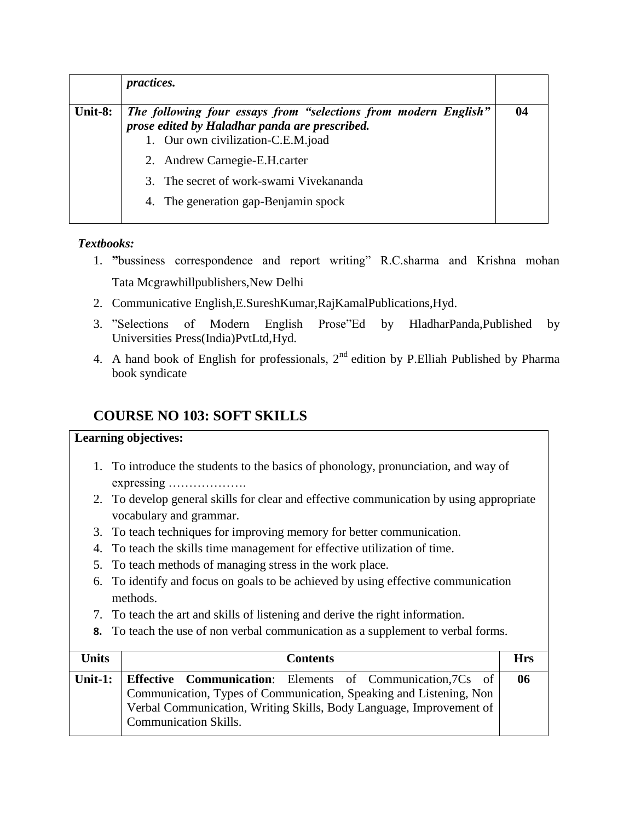|         | <i>practices.</i>                                                                                                                                       |    |
|---------|---------------------------------------------------------------------------------------------------------------------------------------------------------|----|
| Unit-8: | The following four essays from "selections from modern English"<br>prose edited by Haladhar panda are prescribed.<br>1. Our own civilization-C.E.M.joad | 04 |
|         | 2. Andrew Carnegie-E.H.carter                                                                                                                           |    |
|         | 3. The secret of work-swami Vivekananda                                                                                                                 |    |
|         | 4. The generation gap-Benjamin spock                                                                                                                    |    |

#### *Textbooks:*

- 1. **"**bussiness correspondence and report writing" R.C.sharma and Krishna mohan Tata Mcgrawhillpublishers,New Delhi
- 2. Communicative English,E.SureshKumar,RajKamalPublications,Hyd.
- 3. "Selections of Modern English Prose"Ed by HladharPanda,Published by Universities Press(India)PvtLtd,Hyd.
- 4. A hand book of English for professionals,  $2<sup>nd</sup>$  edition by P.Elliah Published by Pharma book syndicate

# **COURSE NO 103: SOFT SKILLS**

- 1. To introduce the students to the basics of phonology, pronunciation, and way of expressing ……………….
- 2. To develop general skills for clear and effective communication by using appropriate vocabulary and grammar.
- 3. To teach techniques for improving memory for better communication.
- 4. To teach the skills time management for effective utilization of time.
- 5. To teach methods of managing stress in the work place.
- 6. To identify and focus on goals to be achieved by using effective communication methods.
- 7. To teach the art and skills of listening and derive the right information.
- **8.** To teach the use of non verbal communication as a supplement to verbal forms.

| <b>Units</b> | <b>Contents</b>                                                                                                                                                                                                                                 | <b>Hrs</b> |
|--------------|-------------------------------------------------------------------------------------------------------------------------------------------------------------------------------------------------------------------------------------------------|------------|
|              | Unit-1: Effective Communication: Elements of Communication, 7Cs of<br>Communication, Types of Communication, Speaking and Listening, Non<br>Verbal Communication, Writing Skills, Body Language, Improvement of<br><b>Communication Skills.</b> | 06         |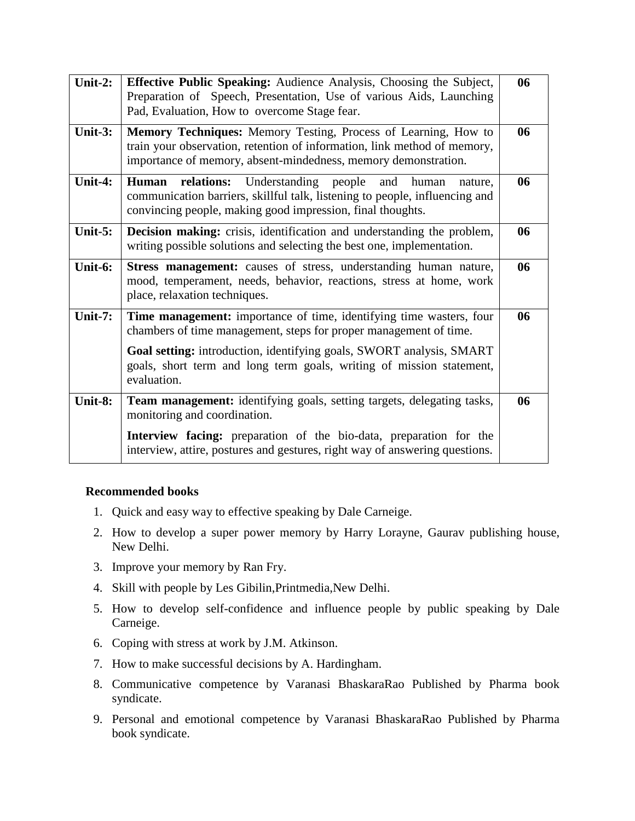| Unit-2:    | Effective Public Speaking: Audience Analysis, Choosing the Subject,<br>Preparation of Speech, Presentation, Use of various Aids, Launching<br>Pad, Evaluation, How to overcome Stage fear.                                                                                                              | 06 |
|------------|---------------------------------------------------------------------------------------------------------------------------------------------------------------------------------------------------------------------------------------------------------------------------------------------------------|----|
| Unit-3:    | Memory Techniques: Memory Testing, Process of Learning, How to<br>train your observation, retention of information, link method of memory,<br>importance of memory, absent-mindedness, memory demonstration.                                                                                            | 06 |
| Unit-4:    | relations: Understanding people<br>and<br>Human<br>human<br>nature.<br>communication barriers, skillful talk, listening to people, influencing and<br>convincing people, making good impression, final thoughts.                                                                                        | 06 |
| Unit- $5:$ | Decision making: crisis, identification and understanding the problem,<br>writing possible solutions and selecting the best one, implementation.                                                                                                                                                        | 06 |
| Unit-6:    | Stress management: causes of stress, understanding human nature,<br>mood, temperament, needs, behavior, reactions, stress at home, work<br>place, relaxation techniques.                                                                                                                                | 06 |
| Unit-7:    | Time management: importance of time, identifying time wasters, four<br>chambers of time management, steps for proper management of time.<br>Goal setting: introduction, identifying goals, SWORT analysis, SMART<br>goals, short term and long term goals, writing of mission statement,<br>evaluation. | 06 |
| Unit-8:    | Team management: identifying goals, setting targets, delegating tasks,<br>monitoring and coordination.                                                                                                                                                                                                  | 06 |
|            | Interview facing: preparation of the bio-data, preparation for the<br>interview, attire, postures and gestures, right way of answering questions.                                                                                                                                                       |    |

#### **Recommended books**

- 1. Quick and easy way to effective speaking by Dale Carneige.
- 2. How to develop a super power memory by Harry Lorayne, Gaurav publishing house, New Delhi.
- 3. Improve your memory by Ran Fry.
- 4. Skill with people by Les Gibilin,Printmedia,New Delhi.
- 5. How to develop self-confidence and influence people by public speaking by Dale Carneige.
- 6. Coping with stress at work by J.M. Atkinson.
- 7. How to make successful decisions by A. Hardingham.
- 8. Communicative competence by Varanasi BhaskaraRao Published by Pharma book syndicate.
- 9. Personal and emotional competence by Varanasi BhaskaraRao Published by Pharma book syndicate.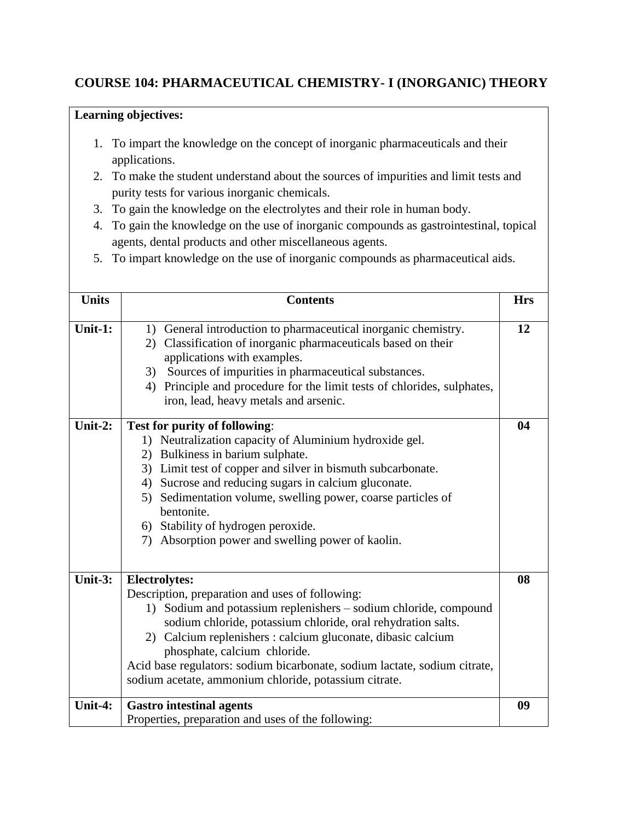### **COURSE 104: PHARMACEUTICAL CHEMISTRY- I (INORGANIC) THEORY**

- 1. To impart the knowledge on the concept of inorganic pharmaceuticals and their applications.
- 2. To make the student understand about the sources of impurities and limit tests and purity tests for various inorganic chemicals.
- 3. To gain the knowledge on the electrolytes and their role in human body.
- 4. To gain the knowledge on the use of inorganic compounds as gastrointestinal, topical agents, dental products and other miscellaneous agents.
- 5. To impart knowledge on the use of inorganic compounds as pharmaceutical aids.

| <b>Units</b> | <b>Contents</b>                                                                                                                                                                                                                                                                                                                                                                                                                                   | <b>Hrs</b> |
|--------------|---------------------------------------------------------------------------------------------------------------------------------------------------------------------------------------------------------------------------------------------------------------------------------------------------------------------------------------------------------------------------------------------------------------------------------------------------|------------|
| Unit-1:      | 1) General introduction to pharmaceutical inorganic chemistry.<br>2) Classification of inorganic pharmaceuticals based on their<br>applications with examples.<br>3) Sources of impurities in pharmaceutical substances.<br>4) Principle and procedure for the limit tests of chlorides, sulphates,<br>iron, lead, heavy metals and arsenic.                                                                                                      | 12         |
| Unit-2:      | Test for purity of following:<br>Neutralization capacity of Aluminium hydroxide gel.<br>1)<br>2) Bulkiness in barium sulphate.<br>3) Limit test of copper and silver in bismuth subcarbonate.<br>4) Sucrose and reducing sugars in calcium gluconate.<br>5) Sedimentation volume, swelling power, coarse particles of<br>bentonite.<br>6) Stability of hydrogen peroxide.<br>Absorption power and swelling power of kaolin.<br>7)                 | 04         |
| Unit- $3:$   | <b>Electrolytes:</b><br>Description, preparation and uses of following:<br>1) Sodium and potassium replenishers - sodium chloride, compound<br>sodium chloride, potassium chloride, oral rehydration salts.<br>2) Calcium replenishers : calcium gluconate, dibasic calcium<br>phosphate, calcium chloride.<br>Acid base regulators: sodium bicarbonate, sodium lactate, sodium citrate,<br>sodium acetate, ammonium chloride, potassium citrate. | 08         |
| Unit-4:      | <b>Gastro</b> intestinal agents<br>Properties, preparation and uses of the following:                                                                                                                                                                                                                                                                                                                                                             | 09         |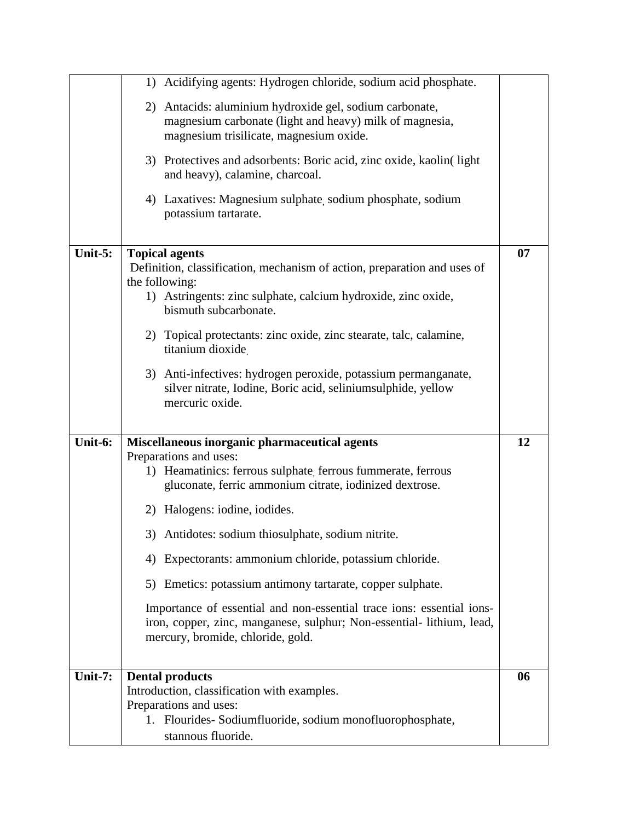|            | Acidifying agents: Hydrogen chloride, sodium acid phosphate.<br>1)                                                                             |    |
|------------|------------------------------------------------------------------------------------------------------------------------------------------------|----|
|            |                                                                                                                                                |    |
|            | 2) Antacids: aluminium hydroxide gel, sodium carbonate,                                                                                        |    |
|            | magnesium carbonate (light and heavy) milk of magnesia,                                                                                        |    |
|            | magnesium trisilicate, magnesium oxide.                                                                                                        |    |
|            | 3) Protectives and adsorbents: Boric acid, zinc oxide, kaolin(light)                                                                           |    |
|            | and heavy), calamine, charcoal.                                                                                                                |    |
|            | 4) Laxatives: Magnesium sulphate sodium phosphate, sodium                                                                                      |    |
|            | potassium tartarate.                                                                                                                           |    |
|            |                                                                                                                                                |    |
| Unit- $5:$ | <b>Topical agents</b><br>Definition, classification, mechanism of action, preparation and uses of                                              | 07 |
|            | the following:                                                                                                                                 |    |
|            | 1) Astringents: zinc sulphate, calcium hydroxide, zinc oxide,                                                                                  |    |
|            | bismuth subcarbonate.                                                                                                                          |    |
|            | 2) Topical protectants: zinc oxide, zinc stearate, talc, calamine,                                                                             |    |
|            | titanium dioxide                                                                                                                               |    |
|            | 3) Anti-infectives: hydrogen peroxide, potassium permanganate,                                                                                 |    |
|            | silver nitrate, Iodine, Boric acid, seliniumsulphide, yellow                                                                                   |    |
|            | mercuric oxide.                                                                                                                                |    |
|            |                                                                                                                                                |    |
| Unit-6:    |                                                                                                                                                | 12 |
|            | Miscellaneous inorganic pharmaceutical agents<br>Preparations and uses:                                                                        |    |
|            | 1) Heamatinics: ferrous sulphate, ferrous fummerate, ferrous                                                                                   |    |
|            | gluconate, ferric ammonium citrate, iodinized dextrose.                                                                                        |    |
|            | 2) Halogens: iodine, iodides.                                                                                                                  |    |
|            | 3) Antidotes: sodium thiosulphate, sodium nitrite                                                                                              |    |
|            |                                                                                                                                                |    |
|            | Expectorants: ammonium chloride, potassium chloride.<br>4)                                                                                     |    |
|            | Emetics: potassium antimony tartarate, copper sulphate.<br>5)                                                                                  |    |
|            |                                                                                                                                                |    |
|            | Importance of essential and non-essential trace ions: essential ions-<br>iron, copper, zinc, manganese, sulphur; Non-essential- lithium, lead, |    |
|            | mercury, bromide, chloride, gold.                                                                                                              |    |
|            |                                                                                                                                                |    |
|            |                                                                                                                                                |    |
| Unit-7:    | <b>Dental products</b>                                                                                                                         | 06 |
|            | Introduction, classification with examples.<br>Preparations and uses:                                                                          |    |
|            | 1. Flourides- Sodiumfluoride, sodium monofluorophosphate,                                                                                      |    |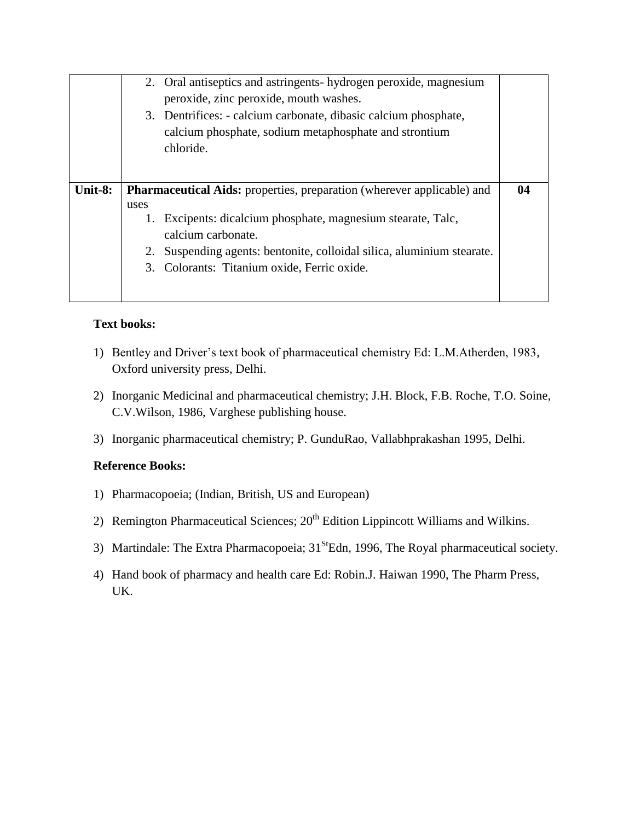|         |      | 2. Oral antiseptics and astringents-hydrogen peroxide, magnesium<br>peroxide, zinc peroxide, mouth washes.<br>3. Dentrifices: - calcium carbonate, dibasic calcium phosphate,<br>calcium phosphate, sodium metaphosphate and strontium<br>chloride. |    |
|---------|------|-----------------------------------------------------------------------------------------------------------------------------------------------------------------------------------------------------------------------------------------------------|----|
| Unit-8: |      | <b>Pharmaceutical Aids:</b> properties, preparation (wherever applicable) and                                                                                                                                                                       | 04 |
|         | uses |                                                                                                                                                                                                                                                     |    |
|         | 1.   | Excipents: dicalcium phosphate, magnesium stearate, Talc,                                                                                                                                                                                           |    |
|         |      | calcium carbonate.                                                                                                                                                                                                                                  |    |
|         |      | Suspending agents: bentonite, colloidal silica, aluminium stearate.                                                                                                                                                                                 |    |
|         |      | 3. Colorants: Titanium oxide, Ferric oxide.                                                                                                                                                                                                         |    |
|         |      |                                                                                                                                                                                                                                                     |    |

#### **Text books:**

- 1) Bentley and Driver's text book of pharmaceutical chemistry Ed: L.M.Atherden, 1983, Oxford university press, Delhi.
- 2) Inorganic Medicinal and pharmaceutical chemistry; J.H. Block, F.B. Roche, T.O. Soine, C.V.Wilson, 1986, Varghese publishing house.
- 3) Inorganic pharmaceutical chemistry; P. GunduRao, Vallabhprakashan 1995, Delhi.

#### **Reference Books:**

- 1) Pharmacopoeia; (Indian, British, US and European)
- 2) Remington Pharmaceutical Sciences;  $20<sup>th</sup>$  Edition Lippincott Williams and Wilkins.
- 3) Martindale: The Extra Pharmacopoeia;  $31<sup>St</sup>Edn$ , 1996, The Royal pharmaceutical society.
- 4) Hand book of pharmacy and health care Ed: Robin.J. Haiwan 1990, The Pharm Press, UK.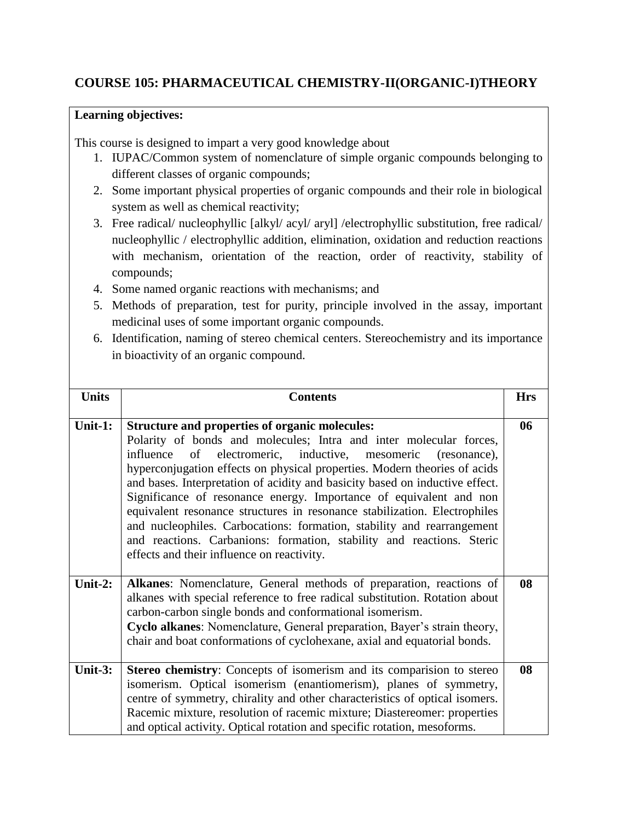## **COURSE 105: PHARMACEUTICAL CHEMISTRY-II(ORGANIC-I)THEORY**

#### **Learning objectives:**

This course is designed to impart a very good knowledge about

- 1. IUPAC/Common system of nomenclature of simple organic compounds belonging to different classes of organic compounds;
- 2. Some important physical properties of organic compounds and their role in biological system as well as chemical reactivity;
- 3. Free radical/ nucleophyllic [alkyl/ acyl/ aryl] /electrophyllic substitution, free radical/ nucleophyllic / electrophyllic addition, elimination, oxidation and reduction reactions with mechanism, orientation of the reaction, order of reactivity, stability of compounds;
- 4. Some named organic reactions with mechanisms; and
- 5. Methods of preparation, test for purity, principle involved in the assay, important medicinal uses of some important organic compounds.
- 6. Identification, naming of stereo chemical centers. Stereochemistry and its importance in bioactivity of an organic compound.

| <b>Units</b> | <b>Contents</b>                                                                                                                                                                                                                                                                                                                                                                                                                                                                                                                                                                                                                                                                                                 | <b>Hrs</b> |
|--------------|-----------------------------------------------------------------------------------------------------------------------------------------------------------------------------------------------------------------------------------------------------------------------------------------------------------------------------------------------------------------------------------------------------------------------------------------------------------------------------------------------------------------------------------------------------------------------------------------------------------------------------------------------------------------------------------------------------------------|------------|
| Unit-1:      | <b>Structure and properties of organic molecules:</b><br>Polarity of bonds and molecules; Intra and inter molecular forces,<br>of electromeric, inductive, mesomeric (resonance),<br>influence<br>hyperconjugation effects on physical properties. Modern theories of acids<br>and bases. Interpretation of acidity and basicity based on inductive effect.<br>Significance of resonance energy. Importance of equivalent and non<br>equivalent resonance structures in resonance stabilization. Electrophiles<br>and nucleophiles. Carbocations: formation, stability and rearrangement<br>and reactions. Carbanions: formation, stability and reactions. Steric<br>effects and their influence on reactivity. | 06         |
| Unit-2:      | Alkanes: Nomenclature, General methods of preparation, reactions of<br>alkanes with special reference to free radical substitution. Rotation about<br>carbon-carbon single bonds and conformational isomerism.<br>Cyclo alkanes: Nomenclature, General preparation, Bayer's strain theory,<br>chair and boat conformations of cyclohexane, axial and equatorial bonds.                                                                                                                                                                                                                                                                                                                                          | 08         |
| Unit-3:      | Stereo chemistry: Concepts of isomerism and its comparision to stereo<br>isomerism. Optical isomerism (enantiomerism), planes of symmetry,<br>centre of symmetry, chirality and other characteristics of optical isomers.<br>Racemic mixture, resolution of racemic mixture; Diastereomer: properties<br>and optical activity. Optical rotation and specific rotation, mesoforms.                                                                                                                                                                                                                                                                                                                               | 08         |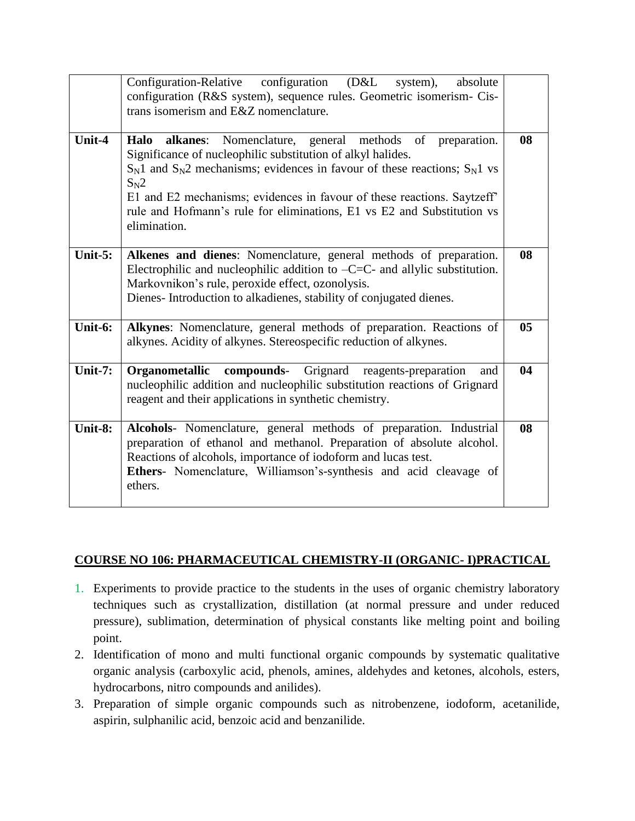|            | Configuration-Relative configuration (D&L<br>system),<br>absolute<br>configuration (R&S system), sequence rules. Geometric isomerism- Cis-<br>trans isomerism and E&Z nomenclature.                                                                                                                                                                                                             |                |
|------------|-------------------------------------------------------------------------------------------------------------------------------------------------------------------------------------------------------------------------------------------------------------------------------------------------------------------------------------------------------------------------------------------------|----------------|
| Unit-4     | Nomenclature, general methods of preparation.<br>Halo alkanes:<br>Significance of nucleophilic substitution of alkyl halides.<br>$S_N1$ and $S_N2$ mechanisms; evidences in favour of these reactions; $S_N1$ vs<br>$S_N2$<br>E1 and E2 mechanisms; evidences in favour of these reactions. Saytzeff'<br>rule and Hofmann's rule for eliminations, E1 vs E2 and Substitution vs<br>elimination. | 08             |
| Unit- $5:$ | Alkenes and dienes: Nomenclature, general methods of preparation.<br>Electrophilic and nucleophilic addition to $-C=C$ - and allylic substitution.<br>Markovnikon's rule, peroxide effect, ozonolysis.<br>Dienes- Introduction to alkadienes, stability of conjugated dienes.                                                                                                                   | 08             |
| Unit-6:    | Alkynes: Nomenclature, general methods of preparation. Reactions of<br>alkynes. Acidity of alkynes. Stereospecific reduction of alkynes.                                                                                                                                                                                                                                                        | 0 <sub>5</sub> |
| Unit- $7:$ | Organometallic<br>compounds-<br>Grignard reagents-preparation<br>and<br>nucleophilic addition and nucleophilic substitution reactions of Grignard<br>reagent and their applications in synthetic chemistry.                                                                                                                                                                                     | 04             |
| Unit-8:    | Alcohols- Nomenclature, general methods of preparation. Industrial<br>preparation of ethanol and methanol. Preparation of absolute alcohol.<br>Reactions of alcohols, importance of iodoform and lucas test.<br>Ethers- Nomenclature, Williamson's-synthesis and acid cleavage of<br>ethers.                                                                                                    | 08             |

#### **COURSE NO 106: PHARMACEUTICAL CHEMISTRY-II (ORGANIC- I)PRACTICAL**

- 1. Experiments to provide practice to the students in the uses of organic chemistry laboratory techniques such as crystallization, distillation (at normal pressure and under reduced pressure), sublimation, determination of physical constants like melting point and boiling point.
- 2. Identification of mono and multi functional organic compounds by systematic qualitative organic analysis (carboxylic acid, phenols, amines, aldehydes and ketones, alcohols, esters, hydrocarbons, nitro compounds and anilides).
- 3. Preparation of simple organic compounds such as nitrobenzene, iodoform, acetanilide, aspirin, sulphanilic acid, benzoic acid and benzanilide.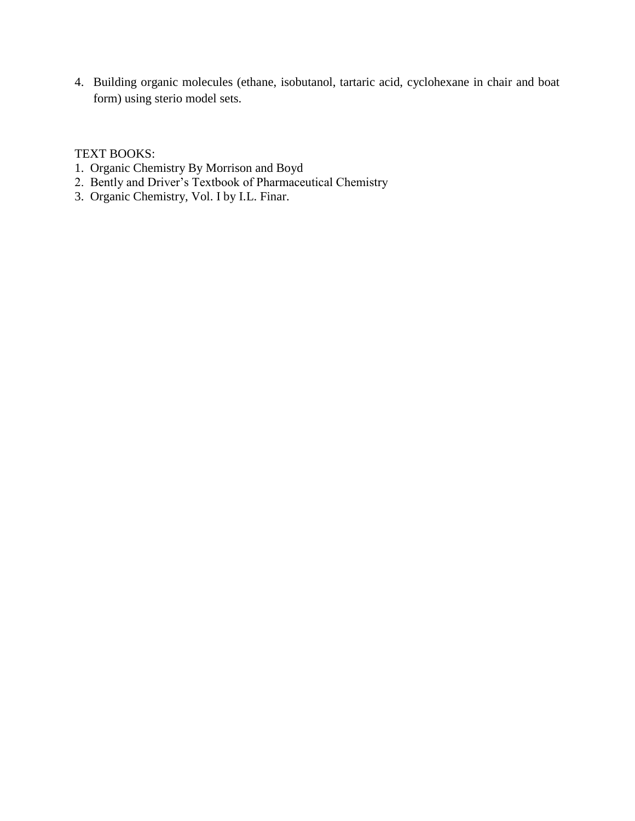4. Building organic molecules (ethane, isobutanol, tartaric acid, cyclohexane in chair and boat form) using sterio model sets.

#### TEXT BOOKS:

- 1. Organic Chemistry By Morrison and Boyd
- 2. Bently and Driver's Textbook of Pharmaceutical Chemistry
- 3. Organic Chemistry, Vol. I by I.L. Finar.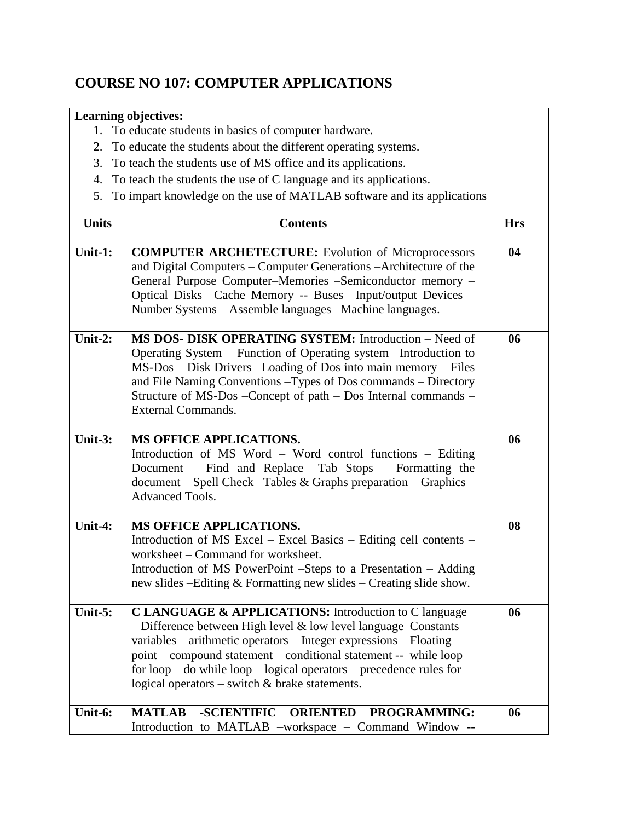# **COURSE NO 107: COMPUTER APPLICATIONS**

- 1. To educate students in basics of computer hardware.
- 2. To educate the students about the different operating systems.
- 3. To teach the students use of MS office and its applications.
- 4. To teach the students the use of C language and its applications.
- 5. To impart knowledge on the use of MATLAB software and its applications

| <b>Units</b>                 | <b>Contents</b>                                                                                                                                                                                                                                                                                                                                                                                     | <b>Hrs</b> |
|------------------------------|-----------------------------------------------------------------------------------------------------------------------------------------------------------------------------------------------------------------------------------------------------------------------------------------------------------------------------------------------------------------------------------------------------|------------|
| Unit-1:                      | <b>COMPUTER ARCHETECTURE:</b> Evolution of Microprocessors<br>and Digital Computers – Computer Generations – Architecture of the<br>General Purpose Computer-Memories -Semiconductor memory -<br>Optical Disks -Cache Memory -- Buses -Input/output Devices -<br>Number Systems - Assemble languages- Machine languages.                                                                            | 04         |
| Unit-2:                      | MS DOS- DISK OPERATING SYSTEM: Introduction - Need of<br>Operating System – Function of Operating system – Introduction to<br>MS-Dos - Disk Drivers - Loading of Dos into main memory - Files<br>and File Naming Conventions - Types of Dos commands - Directory<br>Structure of MS-Dos -Concept of path - Dos Internal commands -<br><b>External Commands.</b>                                     | 06         |
| Unit-3:                      | MS OFFICE APPLICATIONS.<br>Introduction of MS Word - Word control functions - Editing<br>Document – Find and Replace –Tab Stops – Formatting the<br>document – Spell Check – Tables & Graphs preparation – Graphics –<br><b>Advanced Tools.</b>                                                                                                                                                     | 06         |
| $\overline{\text{Unit-4}}$ : | <b>MS OFFICE APPLICATIONS.</b><br>Introduction of MS Excel – Excel Basics – Editing cell contents –<br>worksheet – Command for worksheet.<br>Introduction of MS PowerPoint -Steps to a Presentation - Adding<br>new slides --Editing & Formatting new slides -- Creating slide show.                                                                                                                | 08         |
| Unit-5:                      | C LANGUAGE & APPLICATIONS: Introduction to C language<br>- Difference between High level & low level language-Constants -<br>variables - arithmetic operators - Integer expressions - Floating<br>point – compound statement – conditional statement -- while loop –<br>for $loop - do$ while $loop - logical$ operators – precedence rules for<br>logical operators – switch $&$ brake statements. | 06         |
| Unit-6:                      | <b>MATLAB</b><br><b>-SCIENTIFIC</b><br><b>ORIENTED PROGRAMMING:</b><br>Introduction to MATLAB -workspace - Command Window --                                                                                                                                                                                                                                                                        | 06         |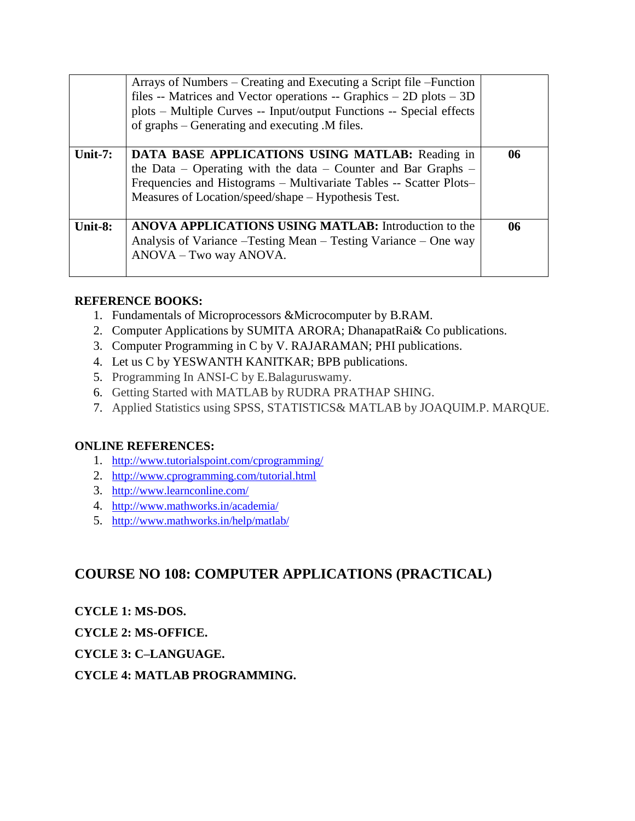|            | Arrays of Numbers – Creating and Executing a Script file – Function<br>files -- Matrices and Vector operations -- Graphics $-$ 2D plots $-$ 3D<br>plots - Multiple Curves -- Input/output Functions -- Special effects<br>of graphs – Generating and executing .M files. |    |
|------------|--------------------------------------------------------------------------------------------------------------------------------------------------------------------------------------------------------------------------------------------------------------------------|----|
| Unit- $7:$ | <b>DATA BASE APPLICATIONS USING MATLAB:</b> Reading in<br>the Data – Operating with the data – Counter and Bar Graphs –<br>Frequencies and Histograms - Multivariate Tables -- Scatter Plots-<br>Measures of Location/speed/shape – Hypothesis Test.                     | 06 |
| Unit-8:    | <b>ANOVA APPLICATIONS USING MATLAB:</b> Introduction to the<br>Analysis of Variance – Testing Mean – Testing Variance – One way<br>ANOVA - Two way ANOVA.                                                                                                                | 06 |

#### **REFERENCE BOOKS:**

- 1. Fundamentals of Microprocessors &Microcomputer by B.RAM.
- 2. Computer Applications by SUMITA ARORA; DhanapatRai& Co publications.
- 3. Computer Programming in C by V. RAJARAMAN; PHI publications.
- 4. Let us C by YESWANTH KANITKAR; BPB publications.
- 5. Programming In ANSI-C by E.Balaguruswamy.
- 6. Getting Started with MATLAB by RUDRA PRATHAP SHING.
- 7. Applied Statistics using SPSS, STATISTICS& MATLAB by JOAQUIM.P. MARQUE.

#### **ONLINE REFERENCES:**

- 1. <http://www.tutorialspoint.com/cprogramming/>
- 2. <http://www.cprogramming.com/tutorial.html>
- 3. <http://www.learnconline.com/>
- 4. <http://www.mathworks.in/academia/>
- 5. <http://www.mathworks.in/help/matlab/>

## **COURSE NO 108: COMPUTER APPLICATIONS (PRACTICAL)**

**CYCLE 1: MS-DOS.**

**CYCLE 2: MS-OFFICE.**

#### **CYCLE 3: C–LANGUAGE.**

**CYCLE 4: MATLAB PROGRAMMING.**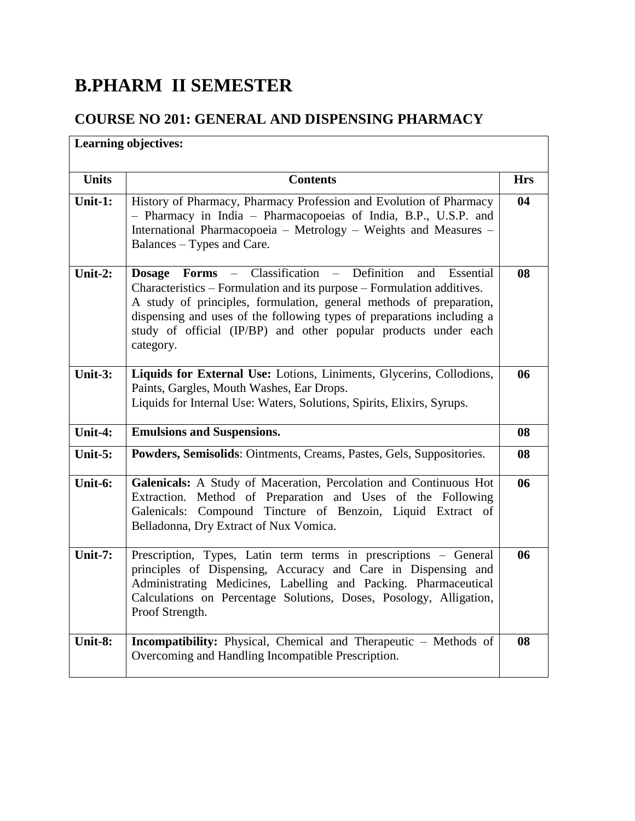# **B.PHARM II SEMESTER**

# **COURSE NO 201: GENERAL AND DISPENSING PHARMACY**

| <b>Learning objectives:</b> |                                                                                                                                                                                                                                                                                                                                                                           |            |
|-----------------------------|---------------------------------------------------------------------------------------------------------------------------------------------------------------------------------------------------------------------------------------------------------------------------------------------------------------------------------------------------------------------------|------------|
| <b>Units</b>                | <b>Contents</b>                                                                                                                                                                                                                                                                                                                                                           | <b>Hrs</b> |
| Unit-1:                     | History of Pharmacy, Pharmacy Profession and Evolution of Pharmacy<br>- Pharmacy in India - Pharmacopoeias of India, B.P., U.S.P. and<br>International Pharmacopoeia - Metrology - Weights and Measures -<br>Balances – Types and Care.                                                                                                                                   | 04         |
| Unit-2:                     | Dosage Forms - Classification - Definition<br>Essential<br>and<br>Characteristics – Formulation and its purpose – Formulation additives.<br>A study of principles, formulation, general methods of preparation,<br>dispensing and uses of the following types of preparations including a<br>study of official (IP/BP) and other popular products under each<br>category. | 08         |
| Unit-3:                     | Liquids for External Use: Lotions, Liniments, Glycerins, Collodions,<br>Paints, Gargles, Mouth Washes, Ear Drops.<br>Liquids for Internal Use: Waters, Solutions, Spirits, Elixirs, Syrups.                                                                                                                                                                               | 06         |
| Unit-4:                     | <b>Emulsions and Suspensions.</b>                                                                                                                                                                                                                                                                                                                                         | 08         |
| Unit-5:                     | Powders, Semisolids: Ointments, Creams, Pastes, Gels, Suppositories.                                                                                                                                                                                                                                                                                                      | 08         |
| Unit-6:                     | Galenicals: A Study of Maceration, Percolation and Continuous Hot<br>Extraction. Method of Preparation and Uses of the Following<br>Galenicals: Compound Tincture of Benzoin, Liquid Extract of<br>Belladonna, Dry Extract of Nux Vomica.                                                                                                                                 | 06         |
| Unit-7:                     | Prescription, Types, Latin term terms in prescriptions - General<br>principles of Dispensing, Accuracy and Care in Dispensing and<br>Administrating Medicines, Labelling and Packing. Pharmaceutical<br>Calculations on Percentage Solutions, Doses, Posology, Alligation,<br>Proof Strength.                                                                             | 06         |
| Unit-8:                     | <b>Incompatibility:</b> Physical, Chemical and Therapeutic - Methods of<br>Overcoming and Handling Incompatible Prescription.                                                                                                                                                                                                                                             | 08         |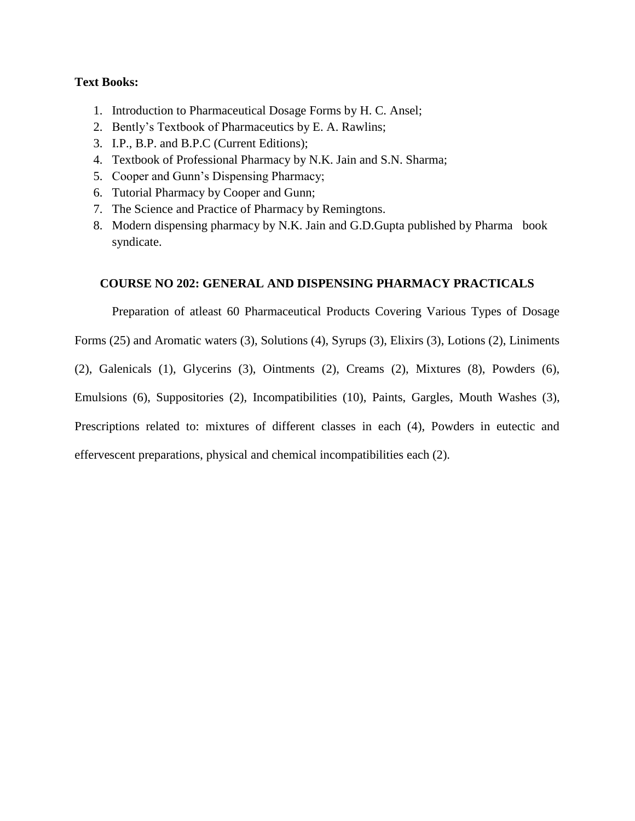#### **Text Books:**

- 1. Introduction to Pharmaceutical Dosage Forms by H. C. Ansel;
- 2. Bently's Textbook of Pharmaceutics by E. A. Rawlins;
- 3. I.P., B.P. and B.P.C (Current Editions);
- 4. Textbook of Professional Pharmacy by N.K. Jain and S.N. Sharma;
- 5. Cooper and Gunn's Dispensing Pharmacy;
- 6. Tutorial Pharmacy by Cooper and Gunn;
- 7. The Science and Practice of Pharmacy by Remingtons.
- 8. Modern dispensing pharmacy by N.K. Jain and G.D.Gupta published by Pharma book syndicate.

#### **COURSE NO 202: GENERAL AND DISPENSING PHARMACY PRACTICALS**

Preparation of atleast 60 Pharmaceutical Products Covering Various Types of Dosage

Forms (25) and Aromatic waters (3), Solutions (4), Syrups (3), Elixirs (3), Lotions (2), Liniments

(2), Galenicals (1), Glycerins (3), Ointments (2), Creams (2), Mixtures (8), Powders (6),

Emulsions (6), Suppositories (2), Incompatibilities (10), Paints, Gargles, Mouth Washes (3),

Prescriptions related to: mixtures of different classes in each (4), Powders in eutectic and

effervescent preparations, physical and chemical incompatibilities each (2).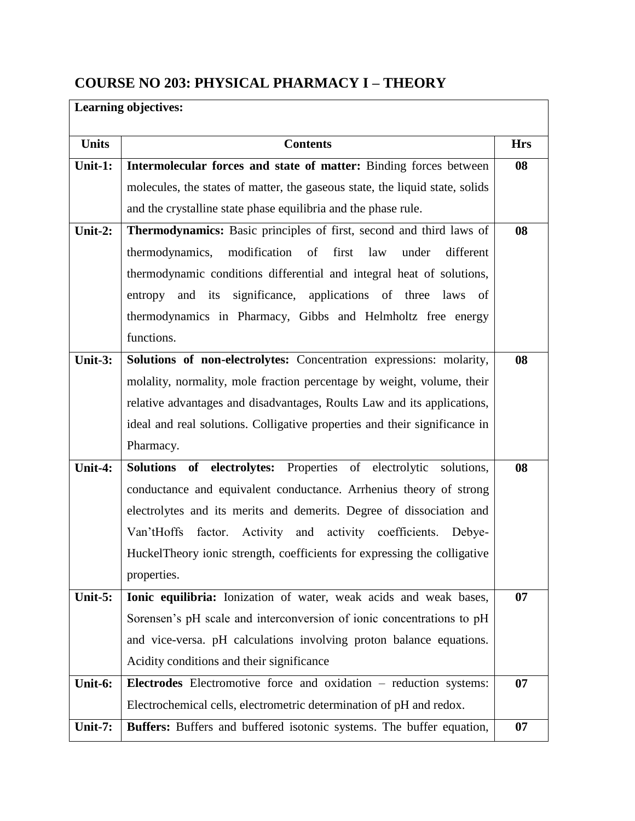# **COURSE NO 203: PHYSICAL PHARMACY I – THEORY**

| <b>Learning objectives:</b> |                                                                              |            |
|-----------------------------|------------------------------------------------------------------------------|------------|
| <b>Units</b>                | <b>Contents</b>                                                              | <b>Hrs</b> |
| Unit-1:                     | Intermolecular forces and state of matter: Binding forces between            | 08         |
|                             | molecules, the states of matter, the gaseous state, the liquid state, solids |            |
|                             | and the crystalline state phase equilibria and the phase rule.               |            |
| Unit-2:                     | Thermodynamics: Basic principles of first, second and third laws of          | 08         |
|                             | modification of<br>thermodynamics,<br>first<br>law<br>different<br>under     |            |
|                             | thermodynamic conditions differential and integral heat of solutions,        |            |
|                             | entropy and its significance, applications of three laws of                  |            |
|                             | thermodynamics in Pharmacy, Gibbs and Helmholtz free energy                  |            |
|                             | functions.                                                                   |            |
| Unit-3:                     | Solutions of non-electrolytes: Concentration expressions: molarity,          | 08         |
|                             | molality, normality, mole fraction percentage by weight, volume, their       |            |
|                             | relative advantages and disadvantages, Roults Law and its applications,      |            |
|                             | ideal and real solutions. Colligative properties and their significance in   |            |
|                             | Pharmacy.                                                                    |            |
| Unit-4:                     | Solutions of electrolytes: Properties of electrolytic<br>solutions,          | 08         |
|                             | conductance and equivalent conductance. Arrhenius theory of strong           |            |
|                             | electrolytes and its merits and demerits. Degree of dissociation and         |            |
|                             | Van'tHoffs<br>factor. Activity and activity coefficients. Debye-             |            |
|                             | HuckelTheory ionic strength, coefficients for expressing the colligative     |            |
|                             | properties.                                                                  |            |
| Unit-5:                     | Ionic equilibria: Ionization of water, weak acids and weak bases,            | 07         |
|                             | Sorensen's pH scale and interconversion of ionic concentrations to pH        |            |
|                             | and vice-versa. pH calculations involving proton balance equations.          |            |
|                             | Acidity conditions and their significance                                    |            |
| Unit-6:                     | Electrodes Electromotive force and oxidation - reduction systems:            | 07         |
|                             | Electrochemical cells, electrometric determination of pH and redox.          |            |
| Unit-7:                     | Buffers: Buffers and buffered isotonic systems. The buffer equation,         | 07         |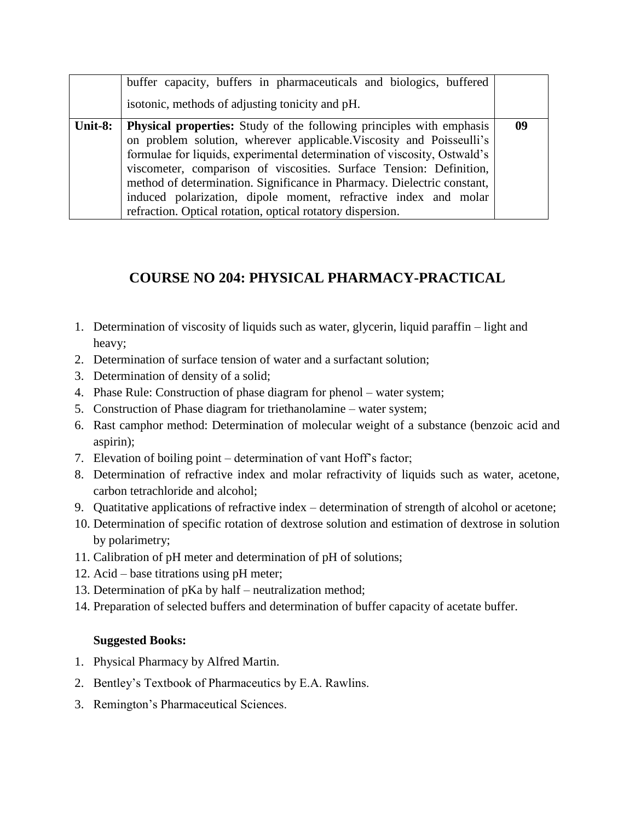|         | buffer capacity, buffers in pharmaceuticals and biologics, buffered<br>isotonic, methods of adjusting tonicity and pH.                                                                                                                                                                                                                                                                                                                                                                                             |    |
|---------|--------------------------------------------------------------------------------------------------------------------------------------------------------------------------------------------------------------------------------------------------------------------------------------------------------------------------------------------------------------------------------------------------------------------------------------------------------------------------------------------------------------------|----|
| Unit-8: | <b>Physical properties:</b> Study of the following principles with emphasis<br>on problem solution, wherever applicable. Viscosity and Poisseulli's<br>formulae for liquids, experimental determination of viscosity, Ostwald's<br>viscometer, comparison of viscosities. Surface Tension: Definition,<br>method of determination. Significance in Pharmacy. Dielectric constant,<br>induced polarization, dipole moment, refractive index and molar<br>refraction. Optical rotation, optical rotatory dispersion. | 09 |

# **COURSE NO 204: PHYSICAL PHARMACY-PRACTICAL**

- 1. Determination of viscosity of liquids such as water, glycerin, liquid paraffin light and heavy;
- 2. Determination of surface tension of water and a surfactant solution;
- 3. Determination of density of a solid;
- 4. Phase Rule: Construction of phase diagram for phenol water system;
- 5. Construction of Phase diagram for triethanolamine water system;
- 6. Rast camphor method: Determination of molecular weight of a substance (benzoic acid and aspirin);
- 7. Elevation of boiling point determination of vant Hoff's factor;
- 8. Determination of refractive index and molar refractivity of liquids such as water, acetone, carbon tetrachloride and alcohol;
- 9. Quatitative applications of refractive index determination of strength of alcohol or acetone;
- 10. Determination of specific rotation of dextrose solution and estimation of dextrose in solution by polarimetry;
- 11. Calibration of pH meter and determination of pH of solutions;
- 12. Acid base titrations using pH meter;
- 13. Determination of pKa by half neutralization method;
- 14. Preparation of selected buffers and determination of buffer capacity of acetate buffer.

#### **Suggested Books:**

- 1. Physical Pharmacy by Alfred Martin.
- 2. Bentley's Textbook of Pharmaceutics by E.A. Rawlins.
- 3. Remington's Pharmaceutical Sciences.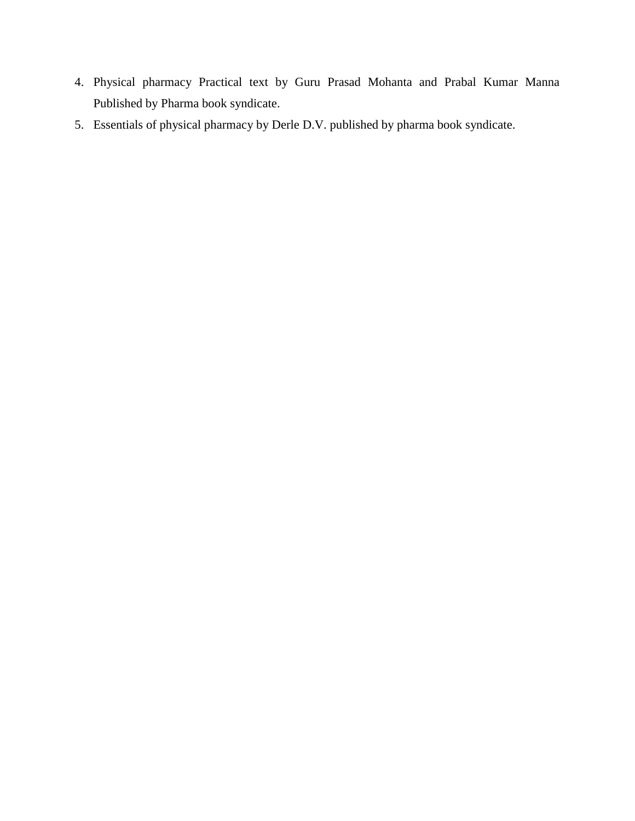- 4. Physical pharmacy Practical text by Guru Prasad Mohanta and Prabal Kumar Manna Published by Pharma book syndicate.
- 5. Essentials of physical pharmacy by Derle D.V. published by pharma book syndicate.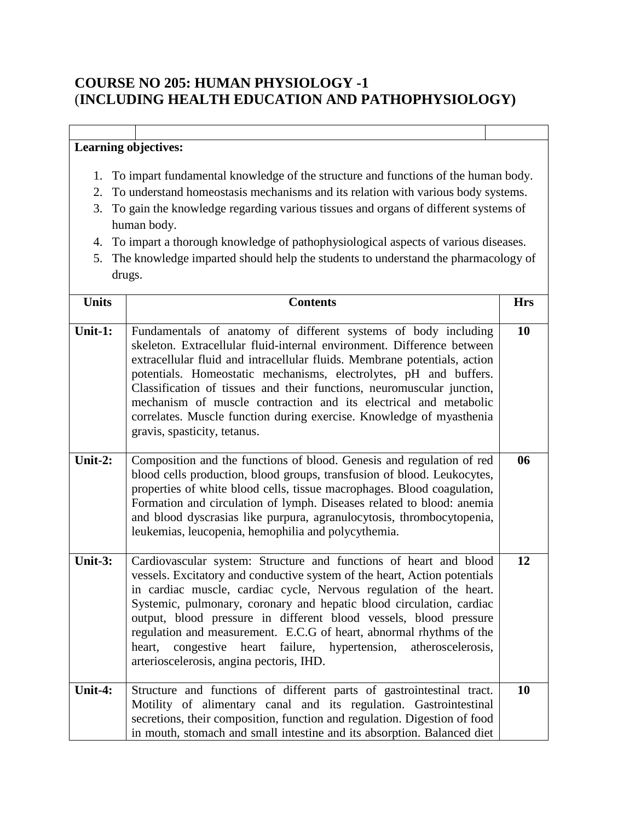## **COURSE NO 205: HUMAN PHYSIOLOGY -1** (**INCLUDING HEALTH EDUCATION AND PATHOPHYSIOLOGY)**

- 1. To impart fundamental knowledge of the structure and functions of the human body.
- 2. To understand homeostasis mechanisms and its relation with various body systems.
- 3. To gain the knowledge regarding various tissues and organs of different systems of human body.
- 4. To impart a thorough knowledge of pathophysiological aspects of various diseases.
- 5. The knowledge imparted should help the students to understand the pharmacology of drugs.

| <b>Units</b> | <b>Contents</b>                                                                                                                                                                                                                                                                                                                                                                                                                                                                                                                                             | <b>Hrs</b> |
|--------------|-------------------------------------------------------------------------------------------------------------------------------------------------------------------------------------------------------------------------------------------------------------------------------------------------------------------------------------------------------------------------------------------------------------------------------------------------------------------------------------------------------------------------------------------------------------|------------|
|              |                                                                                                                                                                                                                                                                                                                                                                                                                                                                                                                                                             |            |
| Unit-1:      | Fundamentals of anatomy of different systems of body including<br>skeleton. Extracellular fluid-internal environment. Difference between<br>extracellular fluid and intracellular fluids. Membrane potentials, action<br>potentials. Homeostatic mechanisms, electrolytes, pH and buffers.<br>Classification of tissues and their functions, neuromuscular junction,<br>mechanism of muscle contraction and its electrical and metabolic<br>correlates. Muscle function during exercise. Knowledge of myasthenia<br>gravis, spasticity, tetanus.            | 10         |
| Unit-2:      | Composition and the functions of blood. Genesis and regulation of red<br>blood cells production, blood groups, transfusion of blood. Leukocytes,<br>properties of white blood cells, tissue macrophages. Blood coagulation,<br>Formation and circulation of lymph. Diseases related to blood: anemia<br>and blood dyscrasias like purpura, agranulocytosis, thrombocytopenia,<br>leukemias, leucopenia, hemophilia and polycythemia.                                                                                                                        | 06         |
| Unit- $3:$   | Cardiovascular system: Structure and functions of heart and blood<br>vessels. Excitatory and conductive system of the heart, Action potentials<br>in cardiac muscle, cardiac cycle, Nervous regulation of the heart.<br>Systemic, pulmonary, coronary and hepatic blood circulation, cardiac<br>output, blood pressure in different blood vessels, blood pressure<br>regulation and measurement. E.C.G of heart, abnormal rhythms of the<br>heart, congestive heart failure, hypertension,<br>atheroscelerosis,<br>arterioscelerosis, angina pectoris, IHD. | 12         |
| Unit-4:      | Structure and functions of different parts of gastrointestinal tract.<br>Motility of alimentary canal and its regulation. Gastrointestinal<br>secretions, their composition, function and regulation. Digestion of food<br>in mouth, stomach and small intestine and its absorption. Balanced diet                                                                                                                                                                                                                                                          | 10         |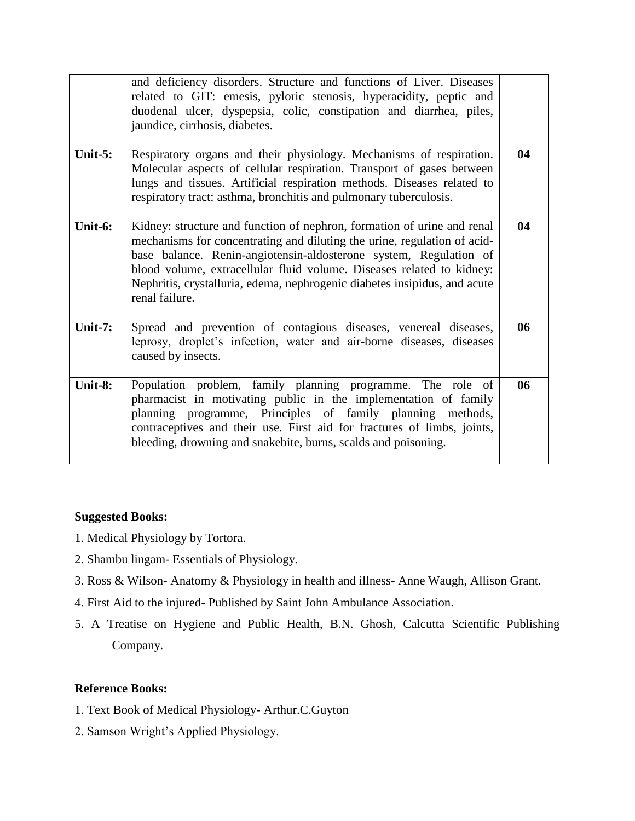|            | and deficiency disorders. Structure and functions of Liver. Diseases<br>related to GIT: emesis, pyloric stenosis, hyperacidity, peptic and<br>duodenal ulcer, dyspepsia, colic, constipation and diarrhea, piles,<br>jaundice, cirrhosis, diabetes.                                                                                                                                              |    |
|------------|--------------------------------------------------------------------------------------------------------------------------------------------------------------------------------------------------------------------------------------------------------------------------------------------------------------------------------------------------------------------------------------------------|----|
| Unit- $5:$ | Respiratory organs and their physiology. Mechanisms of respiration.<br>Molecular aspects of cellular respiration. Transport of gases between<br>lungs and tissues. Artificial respiration methods. Diseases related to<br>respiratory tract: asthma, bronchitis and pulmonary tuberculosis.                                                                                                      | 04 |
| Unit-6:    | Kidney: structure and function of nephron, formation of urine and renal<br>mechanisms for concentrating and diluting the urine, regulation of acid-<br>base balance. Renin-angiotensin-aldosterone system, Regulation of<br>blood volume, extracellular fluid volume. Diseases related to kidney:<br>Nephritis, crystalluria, edema, nephrogenic diabetes insipidus, and acute<br>renal failure. | 04 |
| Unit- $7:$ | Spread and prevention of contagious diseases, venereal diseases,<br>leprosy, droplet's infection, water and air-borne diseases, diseases<br>caused by insects.                                                                                                                                                                                                                                   | 06 |
| Unit-8:    | Population problem, family planning programme. The role of<br>pharmacist in motivating public in the implementation of family<br>planning programme, Principles of family planning methods,<br>contraceptives and their use. First aid for fractures of limbs, joints,<br>bleeding, drowning and snakebite, burns, scalds and poisoning.                                                         | 06 |

#### **Suggested Books:**

- 1. Medical Physiology by Tortora.
- 2. Shambu lingam- Essentials of Physiology.
- 3. Ross & Wilson- Anatomy & Physiology in health and illness- Anne Waugh, Allison Grant.
- 4. First Aid to the injured- Published by Saint John Ambulance Association.
- 5. A Treatise on Hygiene and Public Health, B.N. Ghosh, Calcutta Scientific Publishing Company.

#### **Reference Books:**

- 1. Text Book of Medical Physiology- Arthur.C.Guyton
- 2. Samson Wright's Applied Physiology.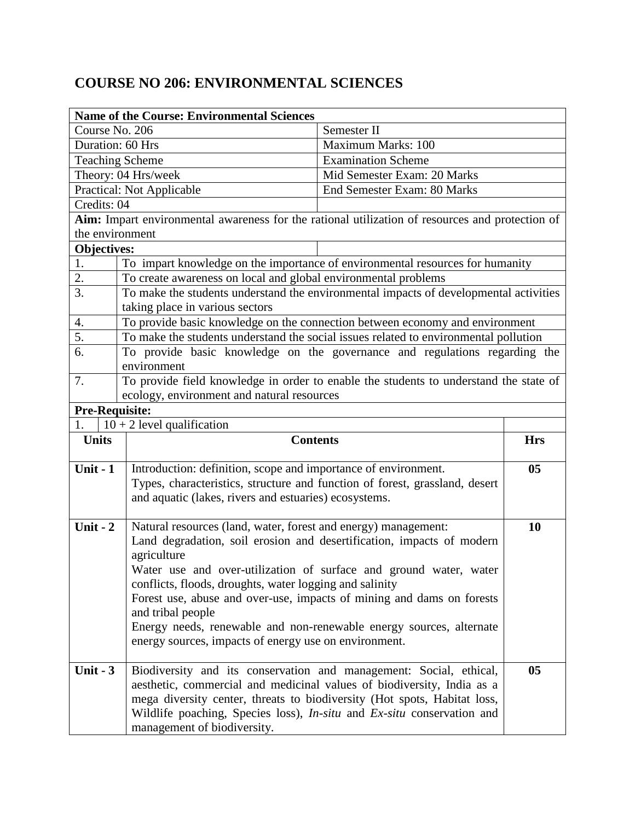# **COURSE NO 206: ENVIRONMENTAL SCIENCES**

|                       | <b>Name of the Course: Environmental Sciences</b>                                                     |                             |                |  |
|-----------------------|-------------------------------------------------------------------------------------------------------|-----------------------------|----------------|--|
| Course No. 206        |                                                                                                       | Semester II                 |                |  |
| Duration: 60 Hrs      |                                                                                                       | Maximum Marks: 100          |                |  |
|                       | <b>Teaching Scheme</b>                                                                                | <b>Examination Scheme</b>   |                |  |
|                       | Theory: 04 Hrs/week                                                                                   | Mid Semester Exam: 20 Marks |                |  |
|                       | <b>Practical: Not Applicable</b>                                                                      | End Semester Exam: 80 Marks |                |  |
| Credits: 04           |                                                                                                       |                             |                |  |
|                       | Aim: Impart environmental awareness for the rational utilization of resources and protection of       |                             |                |  |
| the environment       |                                                                                                       |                             |                |  |
| Objectives:           |                                                                                                       |                             |                |  |
| 1.                    | To impart knowledge on the importance of environmental resources for humanity                         |                             |                |  |
| 2.                    | To create awareness on local and global environmental problems                                        |                             |                |  |
| $\overline{3}$ .      | To make the students understand the environmental impacts of developmental activities                 |                             |                |  |
|                       | taking place in various sectors                                                                       |                             |                |  |
| 4.                    | To provide basic knowledge on the connection between economy and environment                          |                             |                |  |
| 5.                    | To make the students understand the social issues related to environmental pollution                  |                             |                |  |
| 6.                    | To provide basic knowledge on the governance and regulations regarding the                            |                             |                |  |
|                       | environment                                                                                           |                             |                |  |
| 7.                    | To provide field knowledge in order to enable the students to understand the state of                 |                             |                |  |
|                       | ecology, environment and natural resources                                                            |                             |                |  |
| <b>Pre-Requisite:</b> |                                                                                                       |                             |                |  |
|                       | $10 + 2$ level qualification                                                                          |                             |                |  |
| <b>Units</b>          | <b>Contents</b>                                                                                       |                             | <b>Hrs</b>     |  |
|                       |                                                                                                       |                             |                |  |
| Unit $-1$             |                                                                                                       |                             | 0 <sub>5</sub> |  |
|                       | Introduction: definition, scope and importance of environment.                                        |                             |                |  |
|                       | Types, characteristics, structure and function of forest, grassland, desert                           |                             |                |  |
|                       | and aquatic (lakes, rivers and estuaries) ecosystems.                                                 |                             |                |  |
| Unit - $2$            | Natural resources (land, water, forest and energy) management:                                        |                             | 10             |  |
|                       | Land degradation, soil erosion and desertification, impacts of modern                                 |                             |                |  |
|                       | agriculture                                                                                           |                             |                |  |
|                       | Water use and over-utilization of surface and ground water, water                                     |                             |                |  |
|                       | conflicts, floods, droughts, water logging and salinity                                               |                             |                |  |
|                       | Forest use, abuse and over-use, impacts of mining and dams on forests                                 |                             |                |  |
|                       | and tribal people                                                                                     |                             |                |  |
|                       | Energy needs, renewable and non-renewable energy sources, alternate                                   |                             |                |  |
|                       | energy sources, impacts of energy use on environment.                                                 |                             |                |  |
|                       |                                                                                                       |                             |                |  |
| Unit $-3$             | Biodiversity and its conservation and management: Social, ethical,                                    |                             | 0 <sub>5</sub> |  |
|                       | aesthetic, commercial and medicinal values of biodiversity, India as a                                |                             |                |  |
|                       | mega diversity center, threats to biodiversity (Hot spots, Habitat loss,                              |                             |                |  |
|                       | Wildlife poaching, Species loss), In-situ and Ex-situ conservation and<br>management of biodiversity. |                             |                |  |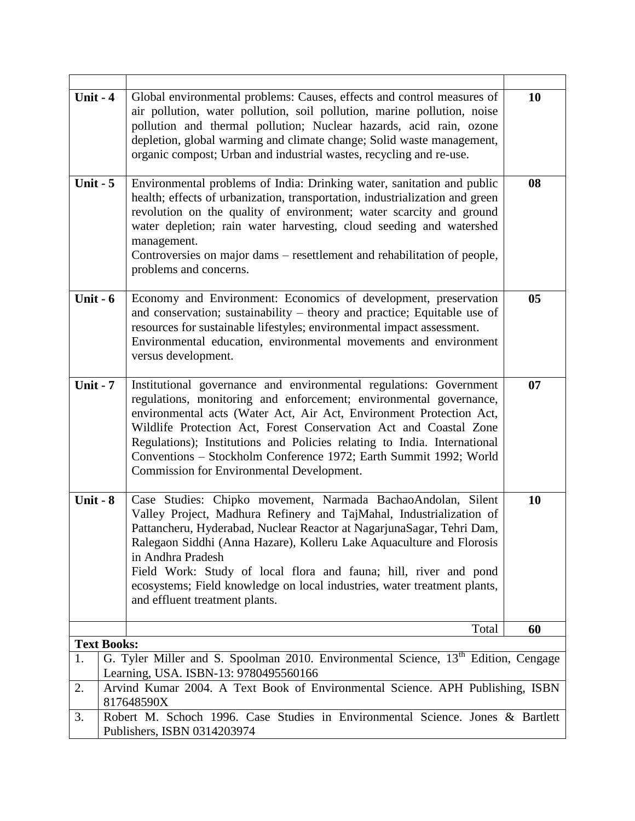| Unit $-4$          | Global environmental problems: Causes, effects and control measures of                                                                                                                                                                                                                                                                                                                                                                                                                      | 10             |
|--------------------|---------------------------------------------------------------------------------------------------------------------------------------------------------------------------------------------------------------------------------------------------------------------------------------------------------------------------------------------------------------------------------------------------------------------------------------------------------------------------------------------|----------------|
|                    | air pollution, water pollution, soil pollution, marine pollution, noise<br>pollution and thermal pollution; Nuclear hazards, acid rain, ozone                                                                                                                                                                                                                                                                                                                                               |                |
|                    | depletion, global warming and climate change; Solid waste management,                                                                                                                                                                                                                                                                                                                                                                                                                       |                |
|                    | organic compost; Urban and industrial wastes, recycling and re-use.                                                                                                                                                                                                                                                                                                                                                                                                                         |                |
|                    |                                                                                                                                                                                                                                                                                                                                                                                                                                                                                             |                |
| Unit $-5$          | Environmental problems of India: Drinking water, sanitation and public<br>health; effects of urbanization, transportation, industrialization and green<br>revolution on the quality of environment; water scarcity and ground<br>water depletion; rain water harvesting, cloud seeding and watershed<br>management.<br>Controversies on major dams – resettlement and rehabilitation of people,                                                                                             | 08             |
|                    | problems and concerns.                                                                                                                                                                                                                                                                                                                                                                                                                                                                      |                |
| Unit $-6$          | Economy and Environment: Economics of development, preservation<br>and conservation; sustainability – theory and practice; Equitable use of<br>resources for sustainable lifestyles; environmental impact assessment.<br>Environmental education, environmental movements and environment<br>versus development.                                                                                                                                                                            | 0 <sub>5</sub> |
| Unit - $7$         | Institutional governance and environmental regulations: Government<br>regulations, monitoring and enforcement; environmental governance,<br>environmental acts (Water Act, Air Act, Environment Protection Act,<br>Wildlife Protection Act, Forest Conservation Act and Coastal Zone<br>Regulations); Institutions and Policies relating to India. International<br>Conventions - Stockholm Conference 1972; Earth Summit 1992; World<br>Commission for Environmental Development.          | 07             |
| Unit - $8$         | Case Studies: Chipko movement, Narmada BachaoAndolan, Silent<br>Valley Project, Madhura Refinery and TajMahal, Industrialization of<br>Pattancheru, Hyderabad, Nuclear Reactor at NagarjunaSagar, Tehri Dam,<br>Ralegaon Siddhi (Anna Hazare), Kolleru Lake Aquaculture and Florosis<br>in Andhra Pradesh<br>Field Work: Study of local flora and fauna; hill, river and pond<br>ecosystems; Field knowledge on local industries, water treatment plants,<br>and effluent treatment plants. | 10             |
|                    | Total                                                                                                                                                                                                                                                                                                                                                                                                                                                                                       | 60             |
| <b>Text Books:</b> |                                                                                                                                                                                                                                                                                                                                                                                                                                                                                             |                |
| 1.                 | G. Tyler Miller and S. Spoolman 2010. Environmental Science, 13 <sup>th</sup> Edition, Cengage<br>Learning, USA. ISBN-13: 9780495560166                                                                                                                                                                                                                                                                                                                                                     |                |
| 2.                 | Arvind Kumar 2004. A Text Book of Environmental Science. APH Publishing, ISBN<br>817648590X                                                                                                                                                                                                                                                                                                                                                                                                 |                |
| 3.                 | Robert M. Schoch 1996. Case Studies in Environmental Science. Jones & Bartlett<br>Publishers, ISBN 0314203974                                                                                                                                                                                                                                                                                                                                                                               |                |